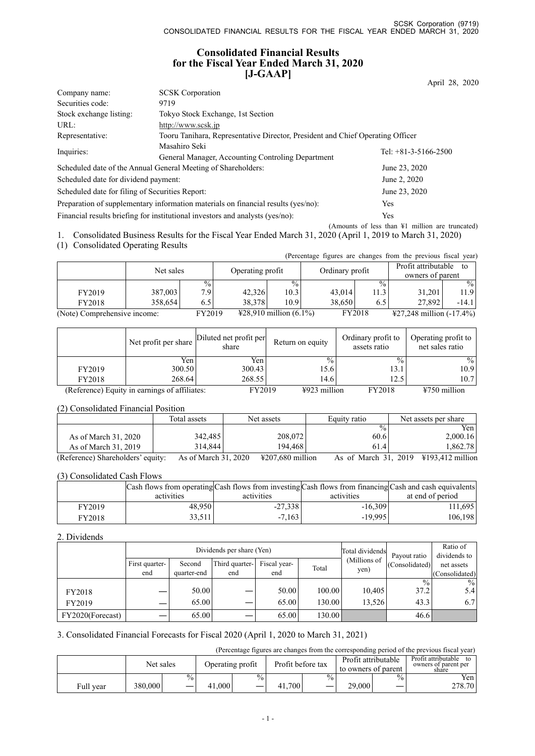## **Consolidated Financial Results for the Fiscal Year Ended March 31, 2020 [J-GAAP]**

|                                                                                   |                                                                               | April 28, 2020                                                                 |  |  |  |
|-----------------------------------------------------------------------------------|-------------------------------------------------------------------------------|--------------------------------------------------------------------------------|--|--|--|
| Company name:                                                                     | <b>SCSK</b> Corporation                                                       |                                                                                |  |  |  |
| Securities code:                                                                  | 9719                                                                          |                                                                                |  |  |  |
| Stock exchange listing:                                                           | Tokyo Stock Exchange, 1st Section                                             |                                                                                |  |  |  |
| URL:                                                                              | http://www.scsk.jp                                                            |                                                                                |  |  |  |
| Representative:                                                                   |                                                                               | Tooru Tanihara, Representative Director, President and Chief Operating Officer |  |  |  |
| Inquiries:                                                                        | Masahiro Seki                                                                 | Tel: $+81-3-5166-2500$                                                         |  |  |  |
|                                                                                   | General Manager, Accounting Controling Department                             |                                                                                |  |  |  |
|                                                                                   | Scheduled date of the Annual General Meeting of Shareholders:                 | June 23, 2020                                                                  |  |  |  |
| Scheduled date for dividend payment:                                              |                                                                               | June 2, 2020                                                                   |  |  |  |
| Scheduled date for filing of Securities Report:                                   |                                                                               | June 23, 2020                                                                  |  |  |  |
| Preparation of supplementary information materials on financial results (yes/no): |                                                                               | <b>Yes</b>                                                                     |  |  |  |
|                                                                                   | Financial results briefing for institutional investors and analysts (yes/no): | <b>Yes</b>                                                                     |  |  |  |
|                                                                                   |                                                                               | (Amounts of less than $\frac{1}{2}$ million are truncated)                     |  |  |  |

1. Consolidated Business Results for the Fiscal Year Ended March 31, 2020 (April 1, 2019 to March 31, 2020)

(1) Consolidated Operating Results

|                              |         |               |                  |                                  |                 |               | (Percentage figures are changes from the previous fiscal year) |               |  |
|------------------------------|---------|---------------|------------------|----------------------------------|-----------------|---------------|----------------------------------------------------------------|---------------|--|
|                              |         |               | Net sales        |                                  |                 |               | Profit attributable<br>to                                      |               |  |
|                              |         |               | Operating profit |                                  | Ordinary profit |               | owners of parent                                               |               |  |
|                              |         | $\frac{0}{0}$ |                  | $\frac{0}{0}$                    |                 | $\frac{0}{0}$ |                                                                | $\frac{0}{0}$ |  |
| FY2019                       | 387,003 | 7.9           | 42.326           | 10.3                             | 43,014          | 11.3          | 31.201                                                         | 11.9          |  |
| FY2018                       | 358,654 | 6.5           | 38.378           | 10.9                             | 38.650          | 6.5           | 27,892                                                         | $-14.1$       |  |
| (Note) Comprehensive income: |         | FY2019        |                  | $\text{\#28,910}$ million (6.1%) |                 | FY2018        | $\text{\#27,248}$ million (-17.4%)                             |               |  |

|        | Net profit per share                          | Diluted net profit per<br>share | Return on equity         | Ordinary profit to<br>assets ratio | Operating profit to<br>net sales ratio |
|--------|-----------------------------------------------|---------------------------------|--------------------------|------------------------------------|----------------------------------------|
|        | Yen                                           | Yen                             | $\frac{0}{0}$            | $\frac{0}{0}$                      | $\%$                                   |
| FY2019 | 300.50                                        | 300.43                          | 15.6                     | 13.1                               | 10.9                                   |
| FY2018 | 268.64                                        | 268.55                          | 14.6                     | 12.5                               | 10.7                                   |
|        | (Reference) Equity in earnings of affiliates: | FY2019                          | $\frac{1}{2}923$ million | <b>FY2018</b>                      | $4750$ million                         |

#### (2) Consolidated Financial Position

|                                   | Total assets         | Net assets                            | Equity ratio         | Net assets per share       |
|-----------------------------------|----------------------|---------------------------------------|----------------------|----------------------------|
|                                   |                      |                                       | $\frac{0}{0}$        | Yenl                       |
| As of March 31, 2020              | 342,485              | 208,072                               | 60.6                 | 2,000.16                   |
| As of March 31, 2019              | 314,844              | 194,468                               | 61.4                 | 1,862.78                   |
| (Reference) Shareholders' equity: | As of March 31, 2020 | $\text{\textsterling}207.680$ million | As of March 31, 2019 | $\text{\#}193.412$ million |

#### (3) Consolidated Cash Flows

|               |            |            |            | $\alpha$ Cash flows from operating Cash flows from investing Cash flows from financing Cash and cash equivalents |
|---------------|------------|------------|------------|------------------------------------------------------------------------------------------------------------------|
|               | activities | activities | activities | at end of period                                                                                                 |
| FY2019        | 48.950     | $-27.338$  | $-16,309$  | 111.695                                                                                                          |
| <b>FY2018</b> | 33.511+    | $-7.163$   | $-19.995$  | 106.198                                                                                                          |

#### 2. Dividends

|                  |                |             | Dividends per share (Yen) | Total dividends | Payout ratio | Ratio of<br>dividends to |                |                  |
|------------------|----------------|-------------|---------------------------|-----------------|--------------|--------------------------|----------------|------------------|
|                  | First quarter- | Second      | Third quarter-            | Fiscal year-    | Total        | (Millions of             | (Consolidated) | net assets       |
|                  | end            | quarter-end | end                       | end             |              | yen)                     |                | (Consolidated)   |
|                  |                |             |                           |                 |              |                          | $\frac{0}{0}$  | $\frac{9}{0}$ 1  |
| FY2018           |                | 50.00       |                           | 50.00           | 100.00       | 10.405                   | 37.2           | 5.4 <sub>1</sub> |
| FY2019           |                | 65.00       |                           | 65.00           | 130.00       | 13.526                   | 43.3           | 6.7 <sup>1</sup> |
| FY2020(Forecast) |                | 65.00       |                           | 65.00           | 130.00       |                          | 46.6           |                  |

#### 3. Consolidated Financial Forecasts for Fiscal 2020 (April 1, 2020 to March 31, 2021)

(Percentage figures are changes from the corresponding period of the previous fiscal year)

|           | Net sales |      | Operating profit |      | Profit before tax |        | Profit attributable<br>to owners of parent |      | Profit attributable<br>tο<br>owners of parent per<br>share |
|-----------|-----------|------|------------------|------|-------------------|--------|--------------------------------------------|------|------------------------------------------------------------|
|           |           | $\%$ |                  | $\%$ |                   | $\%$ . |                                            | $\%$ | Yen                                                        |
| Full year | 380,000   | __   | 41,000           |      | 700<br>41,        | –      | 29,000                                     | _    | 278.70                                                     |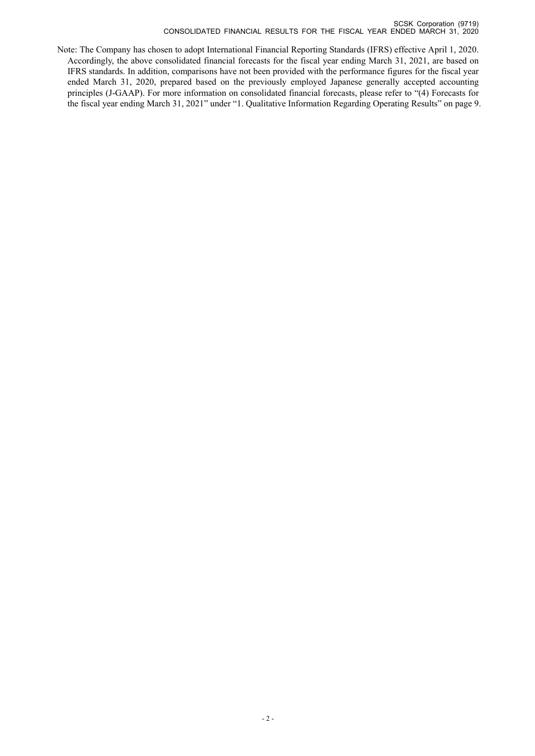Note: The Company has chosen to adopt International Financial Reporting Standards (IFRS) effective April 1, 2020. Accordingly, the above consolidated financial forecasts for the fiscal year ending March 31, 2021, are based on IFRS standards. In addition, comparisons have not been provided with the performance figures for the fiscal year ended March 31, 2020, prepared based on the previously employed Japanese generally accepted accounting principles (J-GAAP). For more information on consolidated financial forecasts, please refer to "(4) Forecasts for the fiscal year ending March 31, 2021" under "1. Qualitative Information Regarding Operating Results" on page 9.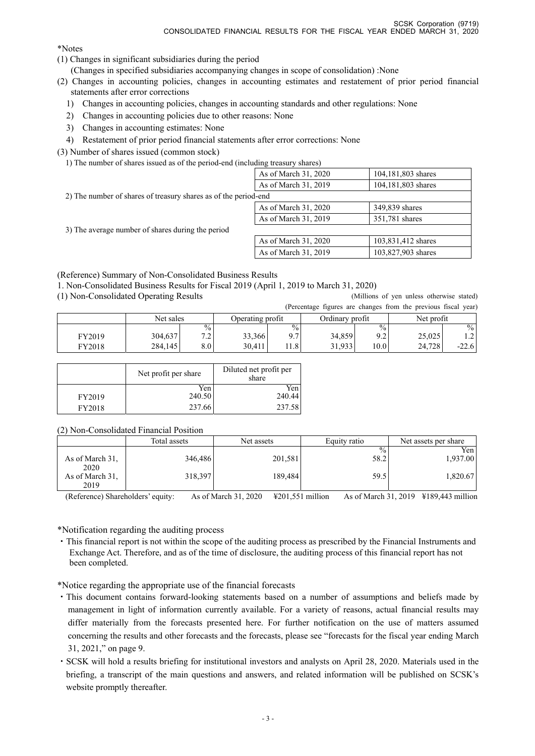\*Notes

- (1) Changes in significant subsidiaries during the period
	- (Changes in specified subsidiaries accompanying changes in scope of consolidation) :None
- (2) Changes in accounting policies, changes in accounting estimates and restatement of prior period financial statements after error corrections
	- 1) Changes in accounting policies, changes in accounting standards and other regulations: None
	- 2) Changes in accounting policies due to other reasons: None
	- 3) Changes in accounting estimates: None
	- 4) Restatement of prior period financial statements after error corrections: None
- (3) Number of shares issued (common stock)
	- 1) The number of shares issued as of the period-end (including treasury shares)

|                                                                 | As of March 31, 2020 | 104,181,803 shares |  |  |  |  |  |
|-----------------------------------------------------------------|----------------------|--------------------|--|--|--|--|--|
|                                                                 | As of March 31, 2019 | 104,181,803 shares |  |  |  |  |  |
| 2) The number of shares of treasury shares as of the period-end |                      |                    |  |  |  |  |  |
|                                                                 | As of March 31, 2020 | 349,839 shares     |  |  |  |  |  |
|                                                                 | As of March 31, 2019 | 351,781 shares     |  |  |  |  |  |
| 3) The average number of shares during the period               |                      |                    |  |  |  |  |  |
|                                                                 | As of March 31, 2020 | 103,831,412 shares |  |  |  |  |  |
|                                                                 | As of March 31, 2019 | 103,827,903 shares |  |  |  |  |  |

(Reference) Summary of Non-Consolidated Business Results

1. Non-Consolidated Business Results for Fiscal 2019 (April 1, 2019 to March 31, 2020)

(1) Non-Consolidated Operating Results (Millions of yen unless otherwise stated)

|        |           |                               |                  |      |                 |       | (Percentage figures are changes from the previous fiscal year) |               |
|--------|-----------|-------------------------------|------------------|------|-----------------|-------|----------------------------------------------------------------|---------------|
|        | Net sales |                               | Operating profit |      | Ordinary profit |       | Net profit                                                     |               |
|        |           | $\frac{0}{0}$                 |                  | $\%$ |                 | $\%$  |                                                                | $\frac{0}{0}$ |
| FY2019 | 304.637   | $\overline{ }$ $\overline{ }$ | 33.366           | 9.7  | 34,859          | 9.2   | 25,025                                                         | 1.2           |
| FY2018 | 284,145   | 8.01                          | 30.411           | 1.8  | 31.933          | 10.01 | 24.728                                                         | $-22.6$       |

|        | Net profit per share | Diluted net profit per<br>share |
|--------|----------------------|---------------------------------|
|        | Yen.                 | Yen                             |
| FY2019 | 240.50               | 240.44                          |
| FY2018 | 237.66               | 237.58                          |

## (2) Non-Consolidated Financial Position

| .<br>$1.011$ . The contract of a matrix and $1.011$ |              |            |               |                      |  |  |  |  |  |
|-----------------------------------------------------|--------------|------------|---------------|----------------------|--|--|--|--|--|
|                                                     | Total assets | Net assets | Equity ratio  | Net assets per share |  |  |  |  |  |
|                                                     |              |            | $\frac{0}{0}$ | Yen l                |  |  |  |  |  |
| As of March 31,<br>2020                             | 346,486      | 201,581    | 58.2          | 1,937.00             |  |  |  |  |  |
| As of March 31,<br>2019                             | 318,397      | 189.484    | 59.5          | 1,820.67             |  |  |  |  |  |

(Reference) Shareholders' equity: As of March 31, 2020 ¥201,551 million As of March 31, 2019 ¥189,443 million

\*Notification regarding the auditing process

・This financial report is not within the scope of the auditing process as prescribed by the Financial Instruments and Exchange Act. Therefore, and as of the time of disclosure, the auditing process of this financial report has not been completed.

\*Notice regarding the appropriate use of the financial forecasts

- ・This document contains forward-looking statements based on a number of assumptions and beliefs made by management in light of information currently available. For a variety of reasons, actual financial results may differ materially from the forecasts presented here. For further notification on the use of matters assumed concerning the results and other forecasts and the forecasts, please see "forecasts for the fiscal year ending March 31, 2021," on page 9.
- ・SCSK will hold a results briefing for institutional investors and analysts on April 28, 2020. Materials used in the briefing, a transcript of the main questions and answers, and related information will be published on SCSK's website promptly thereafter.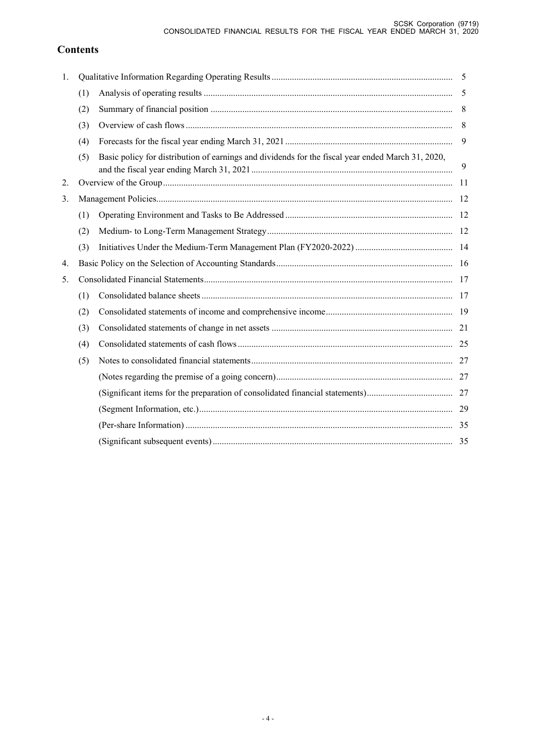# **Contents**

| 1. |     |                                                                                                   |     |
|----|-----|---------------------------------------------------------------------------------------------------|-----|
|    | (1) |                                                                                                   | -5  |
|    | (2) |                                                                                                   | 8   |
|    | (3) |                                                                                                   | 8   |
|    | (4) |                                                                                                   | 9   |
|    | (5) | Basic policy for distribution of earnings and dividends for the fiscal year ended March 31, 2020, | 9   |
| 2. |     |                                                                                                   | -11 |
| 3. |     |                                                                                                   |     |
|    | (1) |                                                                                                   |     |
|    | (2) |                                                                                                   |     |
|    | (3) |                                                                                                   |     |
| 4. |     |                                                                                                   |     |
| 5. |     |                                                                                                   |     |
|    | (1) |                                                                                                   |     |
|    | (2) |                                                                                                   |     |
|    | (3) |                                                                                                   |     |
|    | (4) |                                                                                                   |     |
|    | (5) |                                                                                                   |     |
|    |     |                                                                                                   |     |
|    |     |                                                                                                   |     |
|    |     |                                                                                                   |     |
|    |     |                                                                                                   |     |
|    |     |                                                                                                   |     |
|    |     |                                                                                                   |     |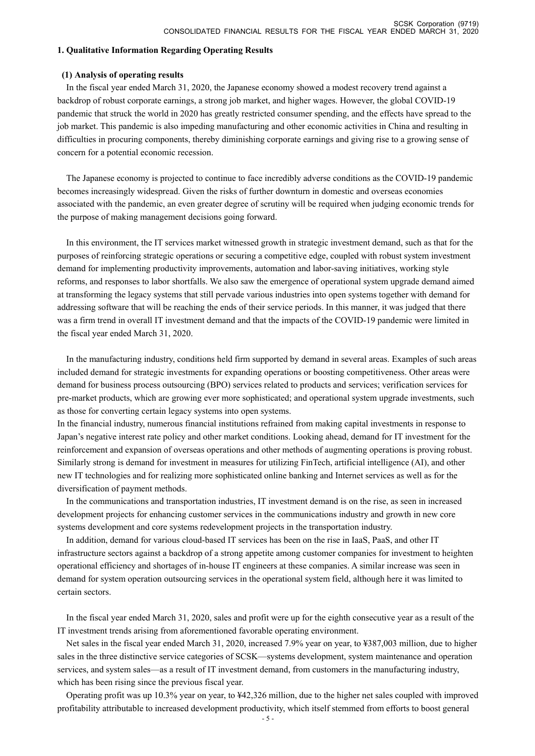#### **1. Qualitative Information Regarding Operating Results**

#### **(1) Analysis of operating results**

In the fiscal year ended March 31, 2020, the Japanese economy showed a modest recovery trend against a backdrop of robust corporate earnings, a strong job market, and higher wages. However, the global COVID-19 pandemic that struck the world in 2020 has greatly restricted consumer spending, and the effects have spread to the job market. This pandemic is also impeding manufacturing and other economic activities in China and resulting in difficulties in procuring components, thereby diminishing corporate earnings and giving rise to a growing sense of concern for a potential economic recession.

The Japanese economy is projected to continue to face incredibly adverse conditions as the COVID-19 pandemic becomes increasingly widespread. Given the risks of further downturn in domestic and overseas economies associated with the pandemic, an even greater degree of scrutiny will be required when judging economic trends for the purpose of making management decisions going forward.

In this environment, the IT services market witnessed growth in strategic investment demand, such as that for the purposes of reinforcing strategic operations or securing a competitive edge, coupled with robust system investment demand for implementing productivity improvements, automation and labor-saving initiatives, working style reforms, and responses to labor shortfalls. We also saw the emergence of operational system upgrade demand aimed at transforming the legacy systems that still pervade various industries into open systems together with demand for addressing software that will be reaching the ends of their service periods. In this manner, it was judged that there was a firm trend in overall IT investment demand and that the impacts of the COVID-19 pandemic were limited in the fiscal year ended March 31, 2020.

In the manufacturing industry, conditions held firm supported by demand in several areas. Examples of such areas included demand for strategic investments for expanding operations or boosting competitiveness. Other areas were demand for business process outsourcing (BPO) services related to products and services; verification services for pre-market products, which are growing ever more sophisticated; and operational system upgrade investments, such as those for converting certain legacy systems into open systems.

In the financial industry, numerous financial institutions refrained from making capital investments in response to Japan's negative interest rate policy and other market conditions. Looking ahead, demand for IT investment for the reinforcement and expansion of overseas operations and other methods of augmenting operations is proving robust. Similarly strong is demand for investment in measures for utilizing FinTech, artificial intelligence (AI), and other new IT technologies and for realizing more sophisticated online banking and Internet services as well as for the diversification of payment methods.

In the communications and transportation industries, IT investment demand is on the rise, as seen in increased development projects for enhancing customer services in the communications industry and growth in new core systems development and core systems redevelopment projects in the transportation industry.

In addition, demand for various cloud-based IT services has been on the rise in IaaS, PaaS, and other IT infrastructure sectors against a backdrop of a strong appetite among customer companies for investment to heighten operational efficiency and shortages of in-house IT engineers at these companies. A similar increase was seen in demand for system operation outsourcing services in the operational system field, although here it was limited to certain sectors.

In the fiscal year ended March 31, 2020, sales and profit were up for the eighth consecutive year as a result of the IT investment trends arising from aforementioned favorable operating environment.

Net sales in the fiscal year ended March 31, 2020, increased 7.9% year on year, to ¥387,003 million, due to higher sales in the three distinctive service categories of SCSK—systems development, system maintenance and operation services, and system sales—as a result of IT investment demand, from customers in the manufacturing industry, which has been rising since the previous fiscal year.

Operating profit was up 10.3% year on year, to ¥42,326 million, due to the higher net sales coupled with improved profitability attributable to increased development productivity, which itself stemmed from efforts to boost general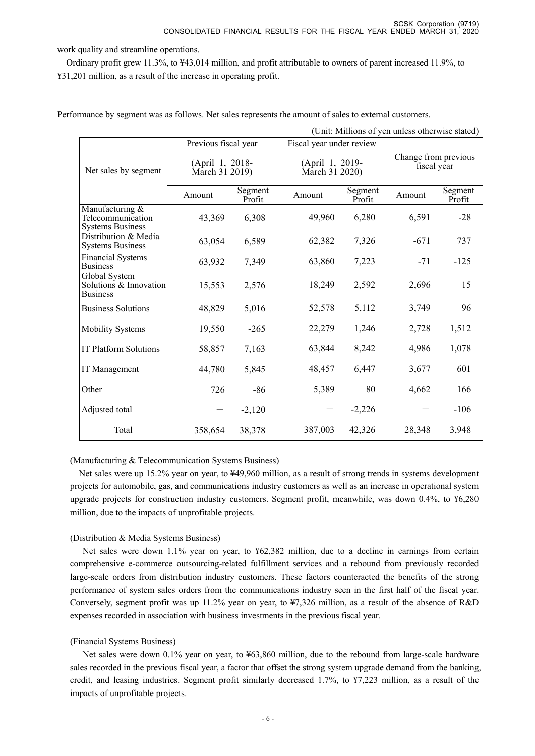(Unit: Millions of yen unless otherwise stated)

work quality and streamline operations.

Ordinary profit grew 11.3%, to ¥43,014 million, and profit attributable to owners of parent increased 11.9%, to ¥31,201 million, as a result of the increase in operating profit.

|                                                                 | Previous fiscal year              |                   | Fiscal year under review          |                   | Change from previous<br>fiscal year |                   |
|-----------------------------------------------------------------|-----------------------------------|-------------------|-----------------------------------|-------------------|-------------------------------------|-------------------|
| Net sales by segment                                            | (April 1, 2018-<br>March 31 2019) |                   | (April 1, 2019-<br>March 31 2020) |                   |                                     |                   |
|                                                                 | Amount                            | Segment<br>Profit | Amount                            | Segment<br>Profit | Amount                              | Segment<br>Profit |
| Manufacturing &<br>Telecommunication<br><b>Systems Business</b> | 43,369                            | 6,308             | 49,960                            | 6,280             | 6,591                               | $-28$             |
| Distribution & Media<br><b>Systems Business</b>                 | 63,054                            | 6,589             | 62,382                            | 7,326             | $-671$                              | 737               |
| Financial Systems<br><b>Business</b>                            | 63,932                            | 7,349             | 63,860                            | 7,223             | $-71$                               | $-125$            |
| Global System<br>Solutions & Innovation<br><b>Business</b>      | 15,553                            | 2,576             | 18,249                            | 2,592             | 2,696                               | 15                |
| <b>Business Solutions</b>                                       | 48,829                            | 5,016             | 52,578                            | 5,112             | 3,749                               | 96                |
| <b>Mobility Systems</b>                                         | 19,550                            | $-265$            | 22,279                            | 1,246             | 2,728                               | 1,512             |
| IT Platform Solutions                                           | 58,857                            | 7,163             | 63,844                            | 8,242             | 4,986                               | 1,078             |
| IT Management                                                   | 44,780                            | 5,845             | 48,457                            | 6,447             | 3,677                               | 601               |
| Other                                                           | 726                               | $-86$             | 5,389                             | 80                | 4,662                               | 166               |
| Adjusted total                                                  | $\overbrace{\phantom{123221111}}$ | $-2,120$          |                                   | $-2,226$          |                                     | $-106$            |
| Total                                                           | 358,654                           | 38,378            | 387,003                           | 42,326            | 28,348                              | 3,948             |

Performance by segment was as follows. Net sales represents the amount of sales to external customers.

(Manufacturing & Telecommunication Systems Business)

Net sales were up 15.2% year on year, to ¥49,960 million, as a result of strong trends in systems development projects for automobile, gas, and communications industry customers as well as an increase in operational system upgrade projects for construction industry customers. Segment profit, meanwhile, was down 0.4%, to ¥6,280 million, due to the impacts of unprofitable projects.

## (Distribution & Media Systems Business)

Net sales were down 1.1% year on year, to ¥62,382 million, due to a decline in earnings from certain comprehensive e-commerce outsourcing-related fulfillment services and a rebound from previously recorded large-scale orders from distribution industry customers. These factors counteracted the benefits of the strong performance of system sales orders from the communications industry seen in the first half of the fiscal year. Conversely, segment profit was up 11.2% year on year, to ¥7,326 million, as a result of the absence of R&D expenses recorded in association with business investments in the previous fiscal year.

## (Financial Systems Business)

Net sales were down 0.1% year on year, to ¥63,860 million, due to the rebound from large-scale hardware sales recorded in the previous fiscal year, a factor that offset the strong system upgrade demand from the banking, credit, and leasing industries. Segment profit similarly decreased 1.7%, to ¥7,223 million, as a result of the impacts of unprofitable projects.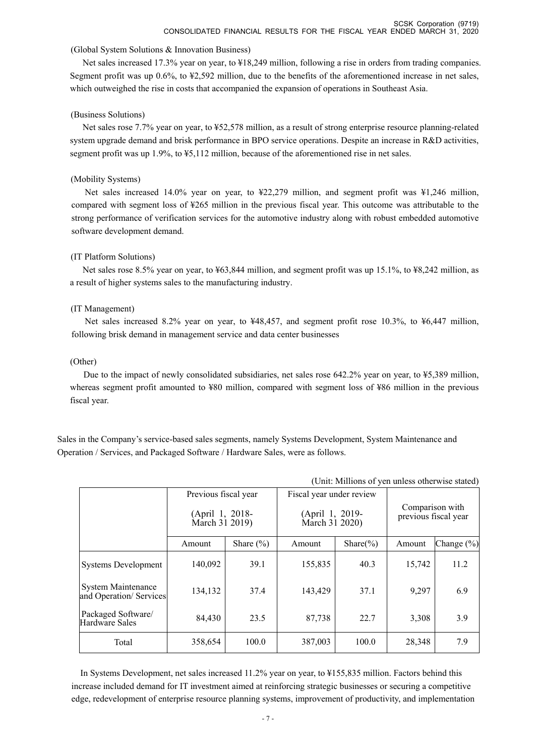#### (Global System Solutions & Innovation Business)

Net sales increased 17.3% year on year, to ¥18,249 million, following a rise in orders from trading companies. Segment profit was up 0.6%, to ¥2,592 million, due to the benefits of the aforementioned increase in net sales, which outweighed the rise in costs that accompanied the expansion of operations in Southeast Asia.

#### (Business Solutions)

Net sales rose 7.7% year on year, to ¥52,578 million, as a result of strong enterprise resource planning-related system upgrade demand and brisk performance in BPO service operations. Despite an increase in R&D activities, segment profit was up 1.9%, to ¥5,112 million, because of the aforementioned rise in net sales.

#### (Mobility Systems)

Net sales increased 14.0% year on year, to ¥22,279 million, and segment profit was ¥1,246 million, compared with segment loss of ¥265 million in the previous fiscal year. This outcome was attributable to the strong performance of verification services for the automotive industry along with robust embedded automotive software development demand.

#### (IT Platform Solutions)

Net sales rose 8.5% year on year, to ¥63,844 million, and segment profit was up 15.1%, to ¥8,242 million, as a result of higher systems sales to the manufacturing industry.

#### (IT Management)

Net sales increased 8.2% year on year, to ¥48,457, and segment profit rose 10.3%, to ¥6,447 million, following brisk demand in management service and data center businesses

#### (Other)

Due to the impact of newly consolidated subsidiaries, net sales rose 642.2% year on year, to ¥5,389 million, whereas segment profit amounted to ¥80 million, compared with segment loss of ¥86 million in the previous fiscal year.

Sales in the Company's service-based sales segments, namely Systems Development, System Maintenance and Operation / Services, and Packaged Software / Hardware Sales, were as follows.

| (Unit: Millions of yen unless otherwise stated)     |                                   |               |                                   |               |                                         |               |
|-----------------------------------------------------|-----------------------------------|---------------|-----------------------------------|---------------|-----------------------------------------|---------------|
|                                                     | Previous fiscal year              |               | Fiscal year under review          |               |                                         |               |
|                                                     | (April 1, 2018-<br>March 31 2019) |               | (April 1, 2019-<br>March 31 2020) |               | Comparison with<br>previous fiscal year |               |
|                                                     | Amount                            | Share $(\% )$ | Amount                            | Share $(\% )$ | Amount                                  | Change $(\%)$ |
| <b>Systems Development</b>                          | 140,092                           | 39.1          | 155,835                           | 40.3          | 15,742                                  | 11.2          |
| <b>System Maintenance</b><br>and Operation/Services | 134,132                           | 37.4          | 143,429                           | 37.1          | 9,297                                   | 6.9           |
| Packaged Software/<br>Hardware Sales                | 84,430                            | 23.5          | 87,738                            | 22.7          | 3,308                                   | 3.9           |
| Total                                               | 358,654                           | 100.0         | 387,003                           | 100.0         | 28,348                                  | 7.9           |

In Systems Development, net sales increased 11.2% year on year, to ¥155,835 million. Factors behind this increase included demand for IT investment aimed at reinforcing strategic businesses or securing a competitive edge, redevelopment of enterprise resource planning systems, improvement of productivity, and implementation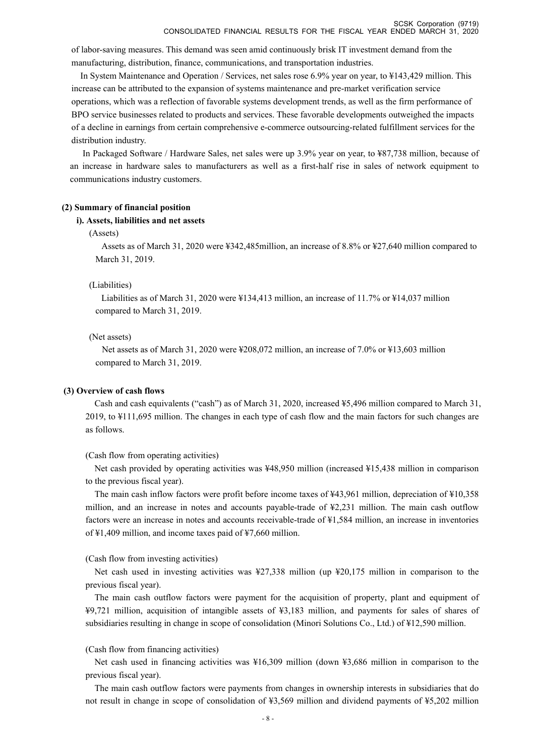of labor-saving measures. This demand was seen amid continuously brisk IT investment demand from the manufacturing, distribution, finance, communications, and transportation industries.

In System Maintenance and Operation / Services, net sales rose 6.9% year on year, to ¥143,429 million. This increase can be attributed to the expansion of systems maintenance and pre-market verification service operations, which was a reflection of favorable systems development trends, as well as the firm performance of BPO service businesses related to products and services. These favorable developments outweighed the impacts of a decline in earnings from certain comprehensive e-commerce outsourcing-related fulfillment services for the distribution industry.

In Packaged Software / Hardware Sales, net sales were up 3.9% year on year, to ¥87,738 million, because of an increase in hardware sales to manufacturers as well as a first-half rise in sales of network equipment to communications industry customers.

#### **(2) Summary of financial position**

#### **i). Assets, liabilities and net assets**

#### (Assets)

Assets as of March 31, 2020 were ¥342,485million, an increase of 8.8% or ¥27,640 million compared to March 31, 2019.

#### (Liabilities)

Liabilities as of March 31, 2020 were ¥134,413 million, an increase of 11.7% or ¥14,037 million compared to March 31, 2019.

#### (Net assets)

Net assets as of March 31, 2020 were ¥208,072 million, an increase of 7.0% or ¥13,603 million compared to March 31, 2019.

#### **(3) Overview of cash flows**

Cash and cash equivalents ("cash") as of March 31, 2020, increased ¥5,496 million compared to March 31, 2019, to ¥111,695 million. The changes in each type of cash flow and the main factors for such changes are as follows.

#### (Cash flow from operating activities)

Net cash provided by operating activities was ¥48,950 million (increased ¥15,438 million in comparison to the previous fiscal year).

The main cash inflow factors were profit before income taxes of ¥43,961 million, depreciation of ¥10,358 million, and an increase in notes and accounts payable-trade of ¥2,231 million. The main cash outflow factors were an increase in notes and accounts receivable-trade of ¥1,584 million, an increase in inventories of ¥1,409 million, and income taxes paid of ¥7,660 million.

#### (Cash flow from investing activities)

Net cash used in investing activities was ¥27,338 million (up ¥20,175 million in comparison to the previous fiscal year).

The main cash outflow factors were payment for the acquisition of property, plant and equipment of ¥9,721 million, acquisition of intangible assets of ¥3,183 million, and payments for sales of shares of subsidiaries resulting in change in scope of consolidation (Minori Solutions Co., Ltd.) of ¥12,590 million.

#### (Cash flow from financing activities)

Net cash used in financing activities was ¥16,309 million (down ¥3,686 million in comparison to the previous fiscal year).

The main cash outflow factors were payments from changes in ownership interests in subsidiaries that do not result in change in scope of consolidation of ¥3,569 million and dividend payments of ¥5,202 million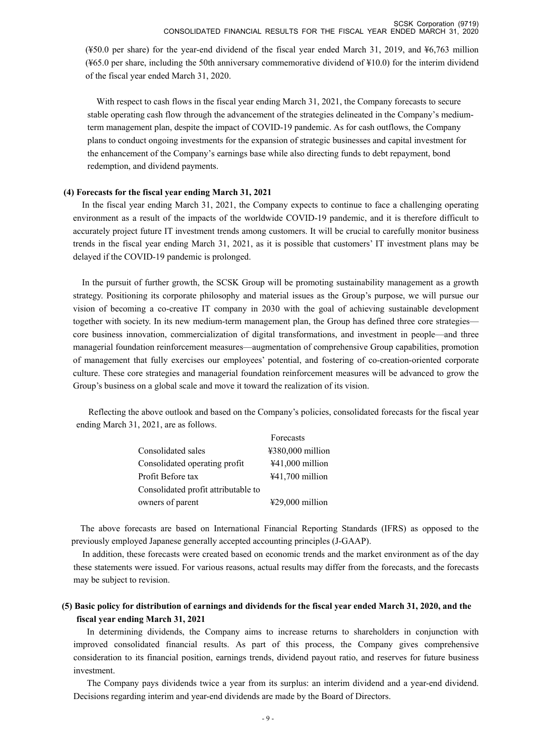(¥50.0 per share) for the year-end dividend of the fiscal year ended March 31, 2019, and ¥6,763 million (¥65.0 per share, including the 50th anniversary commemorative dividend of ¥10.0) for the interim dividend of the fiscal year ended March 31, 2020.

With respect to cash flows in the fiscal year ending March 31, 2021, the Company forecasts to secure stable operating cash flow through the advancement of the strategies delineated in the Company's mediumterm management plan, despite the impact of COVID-19 pandemic. As for cash outflows, the Company plans to conduct ongoing investments for the expansion of strategic businesses and capital investment for the enhancement of the Company's earnings base while also directing funds to debt repayment, bond redemption, and dividend payments.

#### **(4) Forecasts for the fiscal year ending March 31, 2021**

In the fiscal year ending March 31, 2021, the Company expects to continue to face a challenging operating environment as a result of the impacts of the worldwide COVID-19 pandemic, and it is therefore difficult to accurately project future IT investment trends among customers. It will be crucial to carefully monitor business trends in the fiscal year ending March 31, 2021, as it is possible that customers' IT investment plans may be delayed if the COVID-19 pandemic is prolonged.

In the pursuit of further growth, the SCSK Group will be promoting sustainability management as a growth strategy. Positioning its corporate philosophy and material issues as the Group's purpose, we will pursue our vision of becoming a co-creative IT company in 2030 with the goal of achieving sustainable development together with society. In its new medium-term management plan, the Group has defined three core strategies core business innovation, commercialization of digital transformations, and investment in people—and three managerial foundation reinforcement measures—augmentation of comprehensive Group capabilities, promotion of management that fully exercises our employees' potential, and fostering of co-creation-oriented corporate culture. These core strategies and managerial foundation reinforcement measures will be advanced to grow the Group's business on a global scale and move it toward the realization of its vision.

Reflecting the above outlook and based on the Company's policies, consolidated forecasts for the fiscal year ending March 31, 2021, are as follows.

|                                     | Forecasts                 |
|-------------------------------------|---------------------------|
| Consolidated sales                  | $4380,000$ million        |
| Consolidated operating profit       | ¥41,000 million           |
| Profit Before tax                   | $441,700$ million         |
| Consolidated profit attributable to |                           |
| owners of parent                    | $\text{\#29,000}$ million |

The above forecasts are based on International Financial Reporting Standards (IFRS) as opposed to the previously employed Japanese generally accepted accounting principles (J-GAAP).

In addition, these forecasts were created based on economic trends and the market environment as of the day these statements were issued. For various reasons, actual results may differ from the forecasts, and the forecasts may be subject to revision.

## **(5) Basic policy for distribution of earnings and dividends for the fiscal year ended March 31, 2020, and the fiscal year ending March 31, 2021**

In determining dividends, the Company aims to increase returns to shareholders in conjunction with improved consolidated financial results. As part of this process, the Company gives comprehensive consideration to its financial position, earnings trends, dividend payout ratio, and reserves for future business investment.

The Company pays dividends twice a year from its surplus: an interim dividend and a year-end dividend. Decisions regarding interim and year-end dividends are made by the Board of Directors.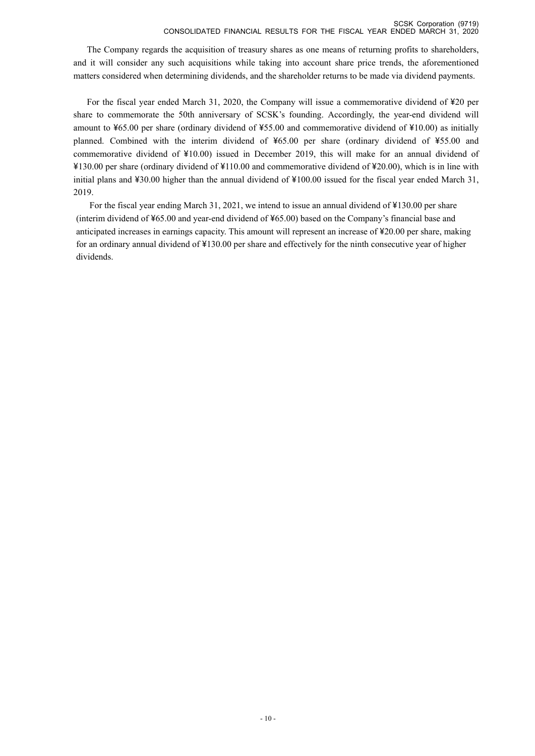The Company regards the acquisition of treasury shares as one means of returning profits to shareholders, and it will consider any such acquisitions while taking into account share price trends, the aforementioned matters considered when determining dividends, and the shareholder returns to be made via dividend payments.

For the fiscal year ended March 31, 2020, the Company will issue a commemorative dividend of ¥20 per share to commemorate the 50th anniversary of SCSK's founding. Accordingly, the year-end dividend will amount to ¥65.00 per share (ordinary dividend of ¥55.00 and commemorative dividend of ¥10.00) as initially planned. Combined with the interim dividend of ¥65.00 per share (ordinary dividend of ¥55.00 and commemorative dividend of ¥10.00) issued in December 2019, this will make for an annual dividend of ¥130.00 per share (ordinary dividend of ¥110.00 and commemorative dividend of ¥20.00), which is in line with initial plans and ¥30.00 higher than the annual dividend of ¥100.00 issued for the fiscal year ended March 31, 2019.

For the fiscal year ending March 31, 2021, we intend to issue an annual dividend of ¥130.00 per share (interim dividend of ¥65.00 and year-end dividend of ¥65.00) based on the Company's financial base and anticipated increases in earnings capacity. This amount will represent an increase of ¥20.00 per share, making for an ordinary annual dividend of ¥130.00 per share and effectively for the ninth consecutive year of higher dividends.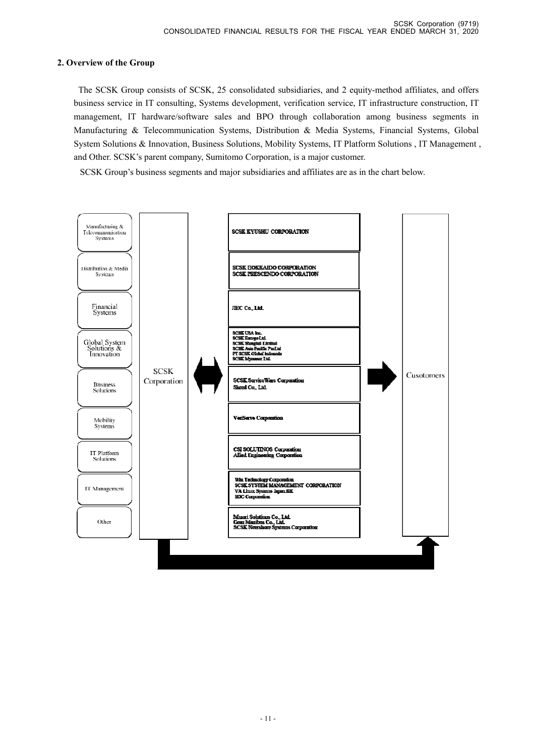## **2. Overview of the Group**

 The SCSK Group consists of SCSK, 25 consolidated subsidiaries, and 2 equity-method affiliates, and offers business service in IT consulting, Systems development, verification service, IT infrastructure construction, IT management, IT hardware/software sales and BPO through collaboration among business segments in Manufacturing & Telecommunication Systems, Distribution & Media Systems, Financial Systems, Global System Solutions & Innovation, Business Solutions, Mobility Systems, IT Platform Solutions , IT Management , and Other. SCSK's parent company, Sumitomo Corporation, is a major customer.

SCSK Group's business segments and major subsidiaries and affiliates are as in the chart below.

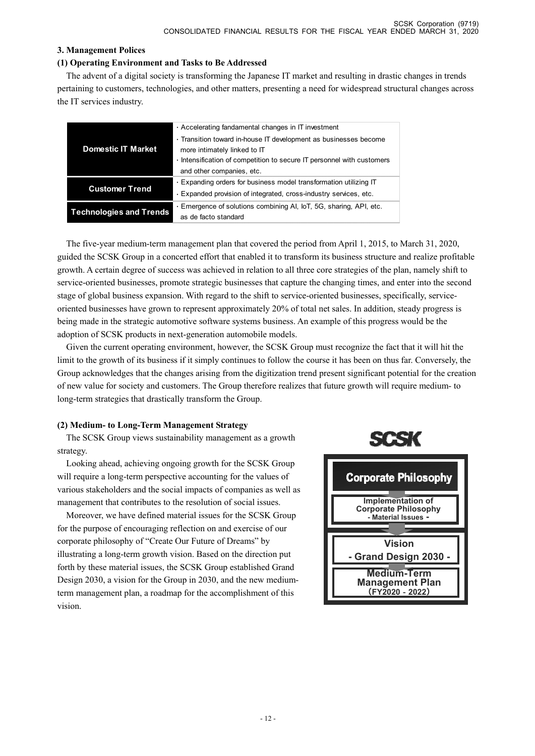## **3. Management Polices**

#### **(1) Operating Environment and Tasks to Be Addressed**

The advent of a digital society is transforming the Japanese IT market and resulting in drastic changes in trends pertaining to customers, technologies, and other matters, presenting a need for widespread structural changes across the IT services industry.

| . Accelerating fandamental changes in IT investment<br>· Transition toward in-house IT development as businesses become<br><b>Domestic IT Market</b><br>more intimately linked to IT |  |                                                                      |
|--------------------------------------------------------------------------------------------------------------------------------------------------------------------------------------|--|----------------------------------------------------------------------|
|                                                                                                                                                                                      |  |                                                                      |
|                                                                                                                                                                                      |  |                                                                      |
|                                                                                                                                                                                      |  |                                                                      |
|                                                                                                                                                                                      |  | Intensification of competition to secure IT personnel with customers |
| and other companies, etc.                                                                                                                                                            |  |                                                                      |
| . Expanding orders for business model transformation utilizing IT                                                                                                                    |  |                                                                      |
| <b>Customer Trend</b><br>· Expanded provision of integrated, cross-industry services, etc.                                                                                           |  |                                                                      |
| · Emergence of solutions combining AI, IoT, 5G, sharing, API, etc.                                                                                                                   |  |                                                                      |
| <b>Technologies and Trends</b><br>as de facto standard                                                                                                                               |  |                                                                      |

The five-year medium-term management plan that covered the period from April 1, 2015, to March 31, 2020, guided the SCSK Group in a concerted effort that enabled it to transform its business structure and realize profitable growth. A certain degree of success was achieved in relation to all three core strategies of the plan, namely shift to service-oriented businesses, promote strategic businesses that capture the changing times, and enter into the second stage of global business expansion. With regard to the shift to service-oriented businesses, specifically, serviceoriented businesses have grown to represent approximately 20% of total net sales. In addition, steady progress is being made in the strategic automotive software systems business. An example of this progress would be the adoption of SCSK products in next-generation automobile models.

Given the current operating environment, however, the SCSK Group must recognize the fact that it will hit the limit to the growth of its business if it simply continues to follow the course it has been on thus far. Conversely, the Group acknowledges that the changes arising from the digitization trend present significant potential for the creation of new value for society and customers. The Group therefore realizes that future growth will require medium- to long-term strategies that drastically transform the Group.

## **(2) Medium- to Long-Term Management Strategy**

The SCSK Group views sustainability management as a growth strategy.

Looking ahead, achieving ongoing growth for the SCSK Group will require a long-term perspective accounting for the values of various stakeholders and the social impacts of companies as well as management that contributes to the resolution of social issues.

Moreover, we have defined material issues for the SCSK Group for the purpose of encouraging reflection on and exercise of our corporate philosophy of "Create Our Future of Dreams" by illustrating a long-term growth vision. Based on the direction put forth by these material issues, the SCSK Group established Grand Design 2030, a vision for the Group in 2030, and the new mediumterm management plan, a roadmap for the accomplishment of this vision.



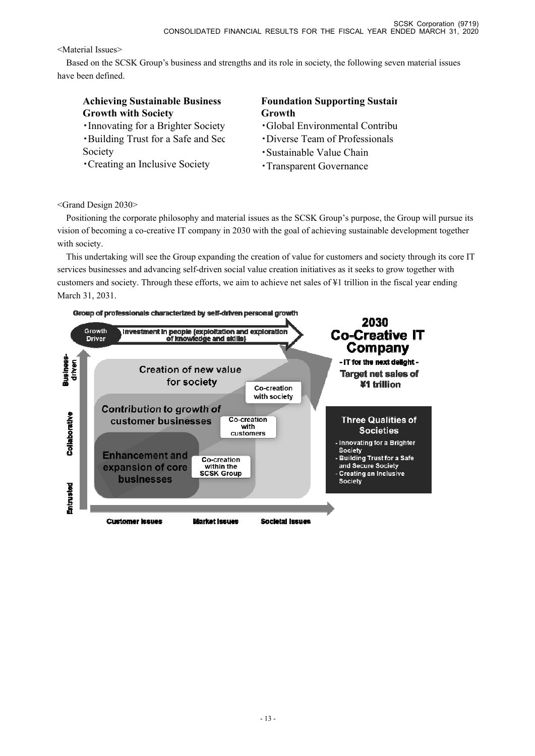<Material Issues>

Based on the SCSK Group's business and strengths and its role in society, the following seven material issues have been defined.

# **Achieving Sustainable Business Growth with Society**

・Innovating for a Brighter Society ・Building Trust for a Safe and Sec Society

・Creating an Inclusive Society

# **Foundation Supporting Sustain Growth**

- ・Global Environmental Contribu
- ・Diverse Team of Professionals
- ・Sustainable Value Chain
- ・Transparent Governance

<Grand Design 2030>

Positioning the corporate philosophy and material issues as the SCSK Group's purpose, the Group will pursue its vision of becoming a co-creative IT company in 2030 with the goal of achieving sustainable development together with society.

This undertaking will see the Group expanding the creation of value for customers and society through its core IT services businesses and advancing self-driven social value creation initiatives as it seeks to grow together with customers and society. Through these efforts, we aim to achieve net sales of ¥1 trillion in the fiscal year ending March 31, 2031.

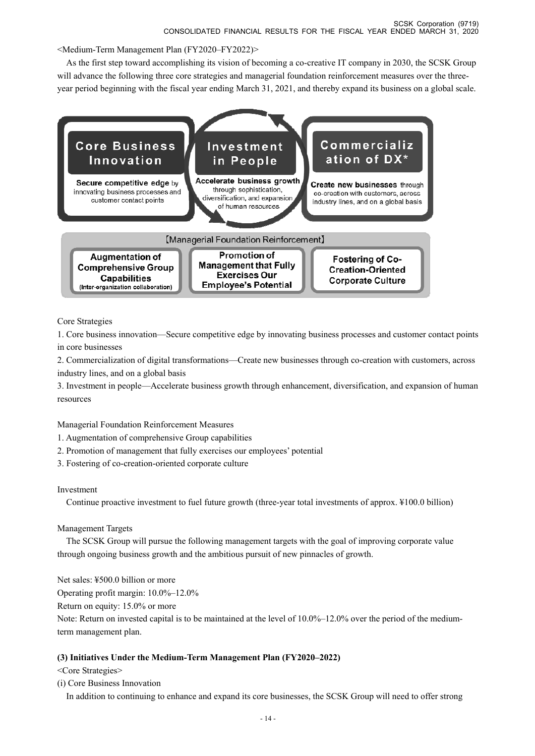<Medium-Term Management Plan (FY2020–FY2022)>

As the first step toward accomplishing its vision of becoming a co-creative IT company in 2030, the SCSK Group will advance the following three core strategies and managerial foundation reinforcement measures over the threeyear period beginning with the fiscal year ending March 31, 2021, and thereby expand its business on a global scale.



Core Strategies

1. Core business innovation—Secure competitive edge by innovating business processes and customer contact points in core businesses

2. Commercialization of digital transformations—Create new businesses through co-creation with customers, across industry lines, and on a global basis

3. Investment in people—Accelerate business growth through enhancement, diversification, and expansion of human resources

## Managerial Foundation Reinforcement Measures

- 1. Augmentation of comprehensive Group capabilities
- 2. Promotion of management that fully exercises our employees' potential
- 3. Fostering of co-creation-oriented corporate culture

## Investment

Continue proactive investment to fuel future growth (three-year total investments of approx. ¥100.0 billion)

## Management Targets

The SCSK Group will pursue the following management targets with the goal of improving corporate value through ongoing business growth and the ambitious pursuit of new pinnacles of growth.

Net sales: ¥500.0 billion or more

Operating profit margin: 10.0%–12.0%

Return on equity: 15.0% or more

Note: Return on invested capital is to be maintained at the level of 10.0%–12.0% over the period of the mediumterm management plan.

## **(3) Initiatives Under the Medium-Term Management Plan (FY2020–2022)**

<Core Strategies>

(i) Core Business Innovation

In addition to continuing to enhance and expand its core businesses, the SCSK Group will need to offer strong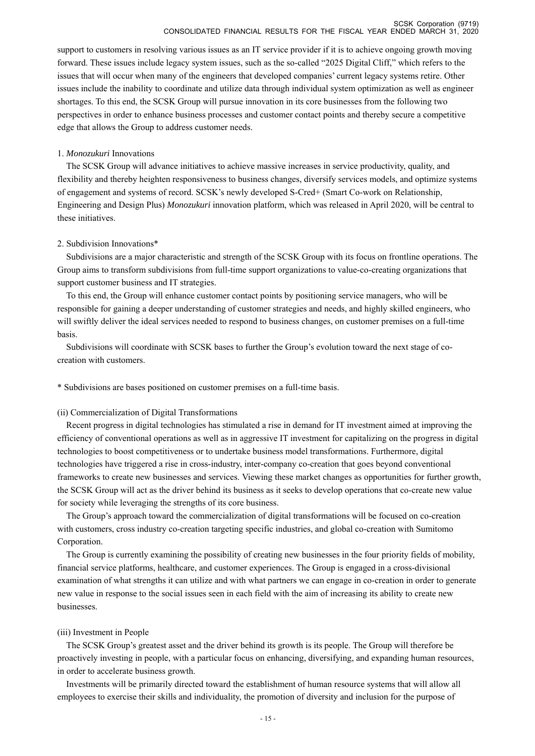#### SCSK Corporation (9719) CONSOLIDATED FINANCIAL RESULTS FOR THE FISCAL YEAR ENDED MARCH 31, 2020

support to customers in resolving various issues as an IT service provider if it is to achieve ongoing growth moving forward. These issues include legacy system issues, such as the so-called "2025 Digital Cliff," which refers to the issues that will occur when many of the engineers that developed companies' current legacy systems retire. Other issues include the inability to coordinate and utilize data through individual system optimization as well as engineer shortages. To this end, the SCSK Group will pursue innovation in its core businesses from the following two perspectives in order to enhance business processes and customer contact points and thereby secure a competitive edge that allows the Group to address customer needs.

#### 1. *Monozukuri* Innovations

The SCSK Group will advance initiatives to achieve massive increases in service productivity, quality, and flexibility and thereby heighten responsiveness to business changes, diversify services models, and optimize systems of engagement and systems of record. SCSK's newly developed S-Cred+ (Smart Co-work on Relationship, Engineering and Design Plus) *Monozukuri* innovation platform, which was released in April 2020, will be central to these initiatives.

#### 2. Subdivision Innovations\*

Subdivisions are a major characteristic and strength of the SCSK Group with its focus on frontline operations. The Group aims to transform subdivisions from full-time support organizations to value-co-creating organizations that support customer business and IT strategies.

To this end, the Group will enhance customer contact points by positioning service managers, who will be responsible for gaining a deeper understanding of customer strategies and needs, and highly skilled engineers, who will swiftly deliver the ideal services needed to respond to business changes, on customer premises on a full-time basis.

Subdivisions will coordinate with SCSK bases to further the Group's evolution toward the next stage of cocreation with customers.

\* Subdivisions are bases positioned on customer premises on a full-time basis.

#### (ii) Commercialization of Digital Transformations

Recent progress in digital technologies has stimulated a rise in demand for IT investment aimed at improving the efficiency of conventional operations as well as in aggressive IT investment for capitalizing on the progress in digital technologies to boost competitiveness or to undertake business model transformations. Furthermore, digital technologies have triggered a rise in cross-industry, inter-company co-creation that goes beyond conventional frameworks to create new businesses and services. Viewing these market changes as opportunities for further growth, the SCSK Group will act as the driver behind its business as it seeks to develop operations that co-create new value for society while leveraging the strengths of its core business.

The Group's approach toward the commercialization of digital transformations will be focused on co-creation with customers, cross industry co-creation targeting specific industries, and global co-creation with Sumitomo Corporation.

The Group is currently examining the possibility of creating new businesses in the four priority fields of mobility, financial service platforms, healthcare, and customer experiences. The Group is engaged in a cross-divisional examination of what strengths it can utilize and with what partners we can engage in co-creation in order to generate new value in response to the social issues seen in each field with the aim of increasing its ability to create new businesses.

#### (iii) Investment in People

The SCSK Group's greatest asset and the driver behind its growth is its people. The Group will therefore be proactively investing in people, with a particular focus on enhancing, diversifying, and expanding human resources, in order to accelerate business growth.

Investments will be primarily directed toward the establishment of human resource systems that will allow all employees to exercise their skills and individuality, the promotion of diversity and inclusion for the purpose of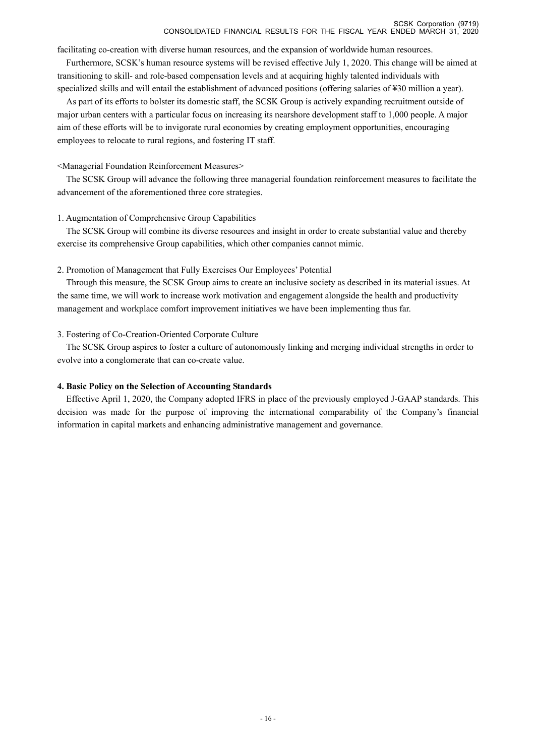facilitating co-creation with diverse human resources, and the expansion of worldwide human resources.

Furthermore, SCSK's human resource systems will be revised effective July 1, 2020. This change will be aimed at transitioning to skill- and role-based compensation levels and at acquiring highly talented individuals with specialized skills and will entail the establishment of advanced positions (offering salaries of ¥30 million a year).

As part of its efforts to bolster its domestic staff, the SCSK Group is actively expanding recruitment outside of major urban centers with a particular focus on increasing its nearshore development staff to 1,000 people. A major aim of these efforts will be to invigorate rural economies by creating employment opportunities, encouraging employees to relocate to rural regions, and fostering IT staff.

#### <Managerial Foundation Reinforcement Measures>

The SCSK Group will advance the following three managerial foundation reinforcement measures to facilitate the advancement of the aforementioned three core strategies.

#### 1. Augmentation of Comprehensive Group Capabilities

The SCSK Group will combine its diverse resources and insight in order to create substantial value and thereby exercise its comprehensive Group capabilities, which other companies cannot mimic.

#### 2. Promotion of Management that Fully Exercises Our Employees' Potential

Through this measure, the SCSK Group aims to create an inclusive society as described in its material issues. At the same time, we will work to increase work motivation and engagement alongside the health and productivity management and workplace comfort improvement initiatives we have been implementing thus far.

#### 3. Fostering of Co-Creation-Oriented Corporate Culture

The SCSK Group aspires to foster a culture of autonomously linking and merging individual strengths in order to evolve into a conglomerate that can co-create value.

## **4. Basic Policy on the Selection of Accounting Standards**

Effective April 1, 2020, the Company adopted IFRS in place of the previously employed J-GAAP standards. This decision was made for the purpose of improving the international comparability of the Company's financial information in capital markets and enhancing administrative management and governance.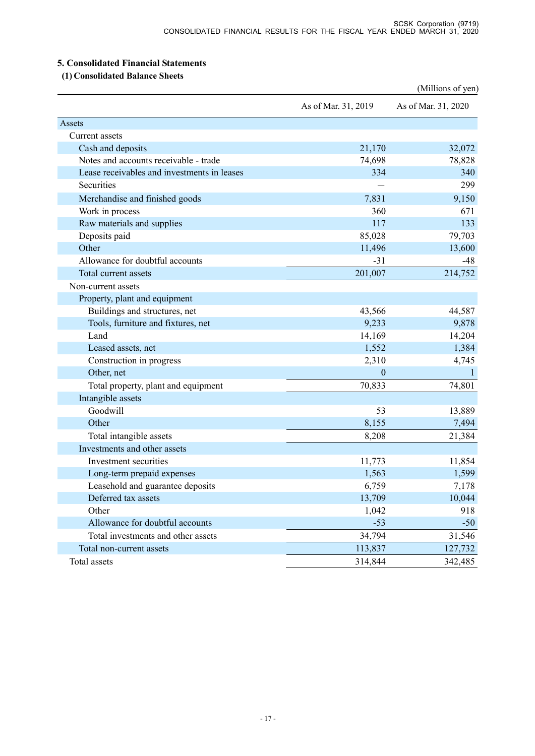## **5. Consolidated Financial Statements**

 **(1) Consolidated Balance Sheets** 

|                                             |                     | (Millions of yen)   |
|---------------------------------------------|---------------------|---------------------|
|                                             | As of Mar. 31, 2019 | As of Mar. 31, 2020 |
| Assets                                      |                     |                     |
| Current assets                              |                     |                     |
| Cash and deposits                           | 21,170              | 32,072              |
| Notes and accounts receivable - trade       | 74,698              | 78,828              |
| Lease receivables and investments in leases | 334                 | 340                 |
| Securities                                  |                     | 299                 |
| Merchandise and finished goods              | 7,831               | 9,150               |
| Work in process                             | 360                 | 671                 |
| Raw materials and supplies                  | 117                 | 133                 |
| Deposits paid                               | 85,028              | 79,703              |
| Other                                       | 11,496              | 13,600              |
| Allowance for doubtful accounts             | $-31$               | $-48$               |
| Total current assets                        | 201,007             | 214,752             |
| Non-current assets                          |                     |                     |
| Property, plant and equipment               |                     |                     |
| Buildings and structures, net               | 43,566              | 44,587              |
| Tools, furniture and fixtures, net          | 9,233               | 9,878               |
| Land                                        | 14,169              | 14,204              |
| Leased assets, net                          | 1,552               | 1,384               |
| Construction in progress                    | 2,310               | 4,745               |
| Other, net                                  | $\theta$            | $\mathbf{1}$        |
| Total property, plant and equipment         | 70,833              | 74,801              |
| Intangible assets                           |                     |                     |
| Goodwill                                    | 53                  | 13,889              |
| Other                                       | 8,155               | 7,494               |
| Total intangible assets                     | 8,208               | 21,384              |
| Investments and other assets                |                     |                     |
| Investment securities                       | 11,773              | 11,854              |
| Long-term prepaid expenses                  | 1,563               | 1,599               |
| Leasehold and guarantee deposits            | 6,759               | 7,178               |
| Deferred tax assets                         | 13,709              | 10,044              |
| Other                                       | 1,042               | 918                 |
| Allowance for doubtful accounts             | $-53$               | $-50$               |
| Total investments and other assets          | 34,794              | 31,546              |
| Total non-current assets                    | 113,837             | 127,732             |
| Total assets                                | 314,844             | 342,485             |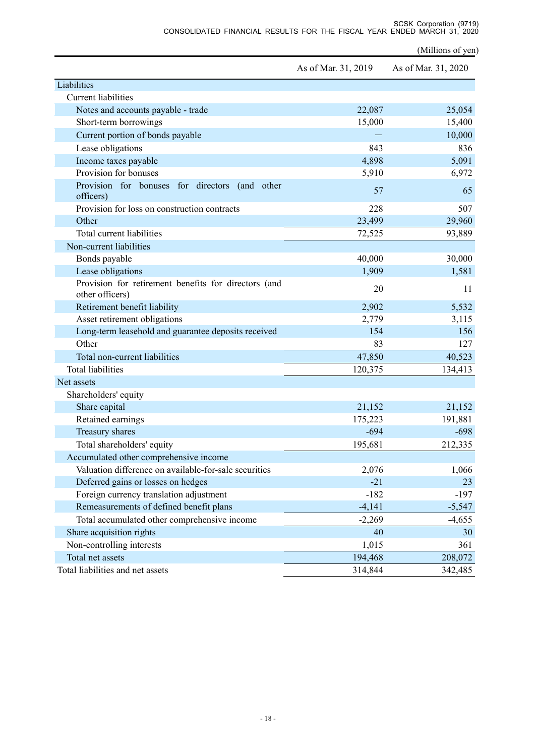SCSK Corporation (9719) CONSOLIDATED FINANCIAL RESULTS FOR THE FISCAL YEAR ENDED MARCH 31, 2020

(Millions of yen)

|                                                                         | As of Mar. 31, 2019 | As of Mar. 31, 2020 |
|-------------------------------------------------------------------------|---------------------|---------------------|
| Liabilities                                                             |                     |                     |
| <b>Current liabilities</b>                                              |                     |                     |
| Notes and accounts payable - trade                                      | 22,087              | 25,054              |
| Short-term borrowings                                                   | 15,000              | 15,400              |
| Current portion of bonds payable                                        |                     | 10,000              |
| Lease obligations                                                       | 843                 | 836                 |
| Income taxes payable                                                    | 4,898               | 5,091               |
| Provision for bonuses                                                   | 5,910               | 6,972               |
| Provision for bonuses for directors (and other<br>officers)             | 57                  | 65                  |
| Provision for loss on construction contracts                            | 228                 | 507                 |
| Other                                                                   | 23,499              | 29,960              |
| Total current liabilities                                               | 72,525              | 93,889              |
| Non-current liabilities                                                 |                     |                     |
| Bonds payable                                                           | 40,000              | 30,000              |
| Lease obligations                                                       | 1,909               | 1,581               |
| Provision for retirement benefits for directors (and<br>other officers) | 20                  | 11                  |
| Retirement benefit liability                                            | 2,902               | 5,532               |
| Asset retirement obligations                                            | 2,779               | 3,115               |
| Long-term leasehold and guarantee deposits received                     | 154                 | 156                 |
| Other                                                                   | 83                  | 127                 |
| Total non-current liabilities                                           | 47,850              | 40,523              |
| <b>Total liabilities</b>                                                | 120,375             | 134,413             |
| Net assets                                                              |                     |                     |
| Shareholders' equity                                                    |                     |                     |
| Share capital                                                           | 21,152              | 21,152              |
| Retained earnings                                                       | 175,223             | 191,881             |
| Treasury shares                                                         | $-694$              | $-698$              |
| Total shareholders' equity                                              | 195,681             | 212,335             |
| Accumulated other comprehensive income                                  |                     |                     |
| Valuation difference on available-for-sale securities                   | 2,076               | 1,066               |
| Deferred gains or losses on hedges                                      | $-21$               | 23                  |
| Foreign currency translation adjustment                                 | $-182$              | $-197$              |
| Remeasurements of defined benefit plans                                 | $-4,141$            | $-5,547$            |
| Total accumulated other comprehensive income                            | $-2,269$            | $-4,655$            |
| Share acquisition rights                                                | 40                  | 30                  |
| Non-controlling interests                                               | 1,015               | 361                 |
| Total net assets                                                        | 194,468             | 208,072             |
| Total liabilities and net assets                                        | 314,844             | 342,485             |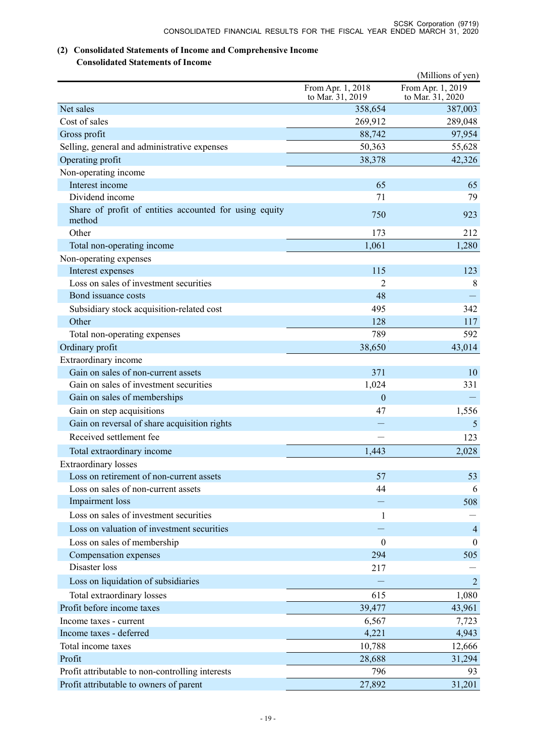# **(2) Consolidated Statements of Income and Comprehensive Income**

# **Consolidated Statements of Income**

| From Apr. 1, 2019<br>From Apr. 1, 2018<br>to Mar. 31, 2019<br>to Mar. 31, 2020<br>Net sales<br>358,654<br>387,003<br>Cost of sales<br>269,912<br>289,048<br>Gross profit<br>88,742<br>97,954<br>Selling, general and administrative expenses<br>50,363<br>55,628 |
|------------------------------------------------------------------------------------------------------------------------------------------------------------------------------------------------------------------------------------------------------------------|
|                                                                                                                                                                                                                                                                  |
|                                                                                                                                                                                                                                                                  |
|                                                                                                                                                                                                                                                                  |
|                                                                                                                                                                                                                                                                  |
|                                                                                                                                                                                                                                                                  |
| Operating profit<br>38,378<br>42,326                                                                                                                                                                                                                             |
| Non-operating income                                                                                                                                                                                                                                             |
| Interest income<br>65<br>65                                                                                                                                                                                                                                      |
| Dividend income<br>79<br>71                                                                                                                                                                                                                                      |
| Share of profit of entities accounted for using equity<br>750<br>923<br>method                                                                                                                                                                                   |
| Other<br>173<br>212                                                                                                                                                                                                                                              |
| 1,280<br>Total non-operating income<br>1,061                                                                                                                                                                                                                     |
| Non-operating expenses                                                                                                                                                                                                                                           |
| Interest expenses<br>115<br>123                                                                                                                                                                                                                                  |
| Loss on sales of investment securities<br>2<br>8                                                                                                                                                                                                                 |
| Bond issuance costs<br>48                                                                                                                                                                                                                                        |
| 495<br>Subsidiary stock acquisition-related cost<br>342                                                                                                                                                                                                          |
| Other<br>128<br>117                                                                                                                                                                                                                                              |
| Total non-operating expenses<br>789<br>592                                                                                                                                                                                                                       |
| 38,650<br>43,014<br>Ordinary profit                                                                                                                                                                                                                              |
| Extraordinary income                                                                                                                                                                                                                                             |
| Gain on sales of non-current assets<br>371<br>10                                                                                                                                                                                                                 |
| Gain on sales of investment securities<br>1,024<br>331                                                                                                                                                                                                           |
| Gain on sales of memberships<br>$\mathbf{0}$                                                                                                                                                                                                                     |
| 1,556<br>Gain on step acquisitions<br>47                                                                                                                                                                                                                         |
| Gain on reversal of share acquisition rights<br>5                                                                                                                                                                                                                |
| Received settlement fee<br>123                                                                                                                                                                                                                                   |
| Total extraordinary income<br>1,443<br>2,028                                                                                                                                                                                                                     |
| <b>Extraordinary</b> losses                                                                                                                                                                                                                                      |
| Loss on retirement of non-current assets<br>57<br>53                                                                                                                                                                                                             |
| Loss on sales of non-current assets<br>44<br>6                                                                                                                                                                                                                   |
| Impairment loss<br>508                                                                                                                                                                                                                                           |
| Loss on sales of investment securities<br>$\mathbf{1}$                                                                                                                                                                                                           |
| Loss on valuation of investment securities<br>$\overline{4}$                                                                                                                                                                                                     |
| Loss on sales of membership<br>$\boldsymbol{0}$<br>$\theta$                                                                                                                                                                                                      |
| Compensation expenses<br>294<br>505                                                                                                                                                                                                                              |
| Disaster loss<br>217                                                                                                                                                                                                                                             |
| Loss on liquidation of subsidiaries<br>$\overline{2}$                                                                                                                                                                                                            |
| Total extraordinary losses<br>1,080<br>615                                                                                                                                                                                                                       |
| Profit before income taxes<br>39,477<br>43,961                                                                                                                                                                                                                   |
| Income taxes - current<br>6,567<br>7,723                                                                                                                                                                                                                         |
| 4,221<br>4,943<br>Income taxes - deferred                                                                                                                                                                                                                        |
| Total income taxes<br>12,666<br>10,788                                                                                                                                                                                                                           |
| Profit<br>31,294<br>28,688                                                                                                                                                                                                                                       |
| 796<br>Profit attributable to non-controlling interests<br>93                                                                                                                                                                                                    |
| Profit attributable to owners of parent<br>27,892<br>31,201                                                                                                                                                                                                      |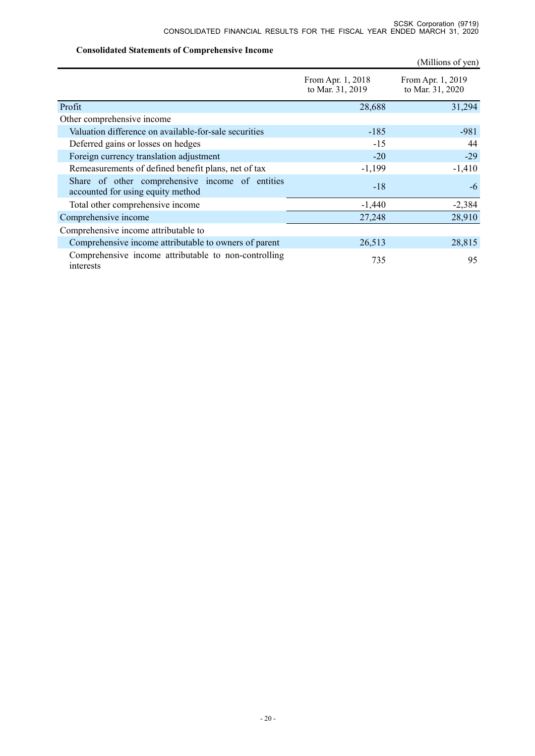## **Consolidated Statements of Comprehensive Income**

|                                                                                      |                                       | (Millions of yen)                     |
|--------------------------------------------------------------------------------------|---------------------------------------|---------------------------------------|
|                                                                                      | From Apr. 1, 2018<br>to Mar. 31, 2019 | From Apr. 1, 2019<br>to Mar. 31, 2020 |
| Profit                                                                               | 28,688                                | 31,294                                |
| Other comprehensive income                                                           |                                       |                                       |
| Valuation difference on available-for-sale securities                                | $-185$                                | $-981$                                |
| Deferred gains or losses on hedges                                                   | $-15$                                 | 44                                    |
| Foreign currency translation adjustment                                              | $-20$                                 | $-29$                                 |
| Remeasurements of defined benefit plans, net of tax                                  | $-1,199$                              | $-1,410$                              |
| Share of other comprehensive income of entities<br>accounted for using equity method | $-18$                                 | -6                                    |
| Total other comprehensive income                                                     | $-1,440$                              | $-2,384$                              |
| Comprehensive income                                                                 | 27,248                                | 28,910                                |
| Comprehensive income attributable to                                                 |                                       |                                       |
| Comprehensive income attributable to owners of parent                                | 26,513                                | 28,815                                |
| Comprehensive income attributable to non-controlling<br>interests                    | 735                                   | 95                                    |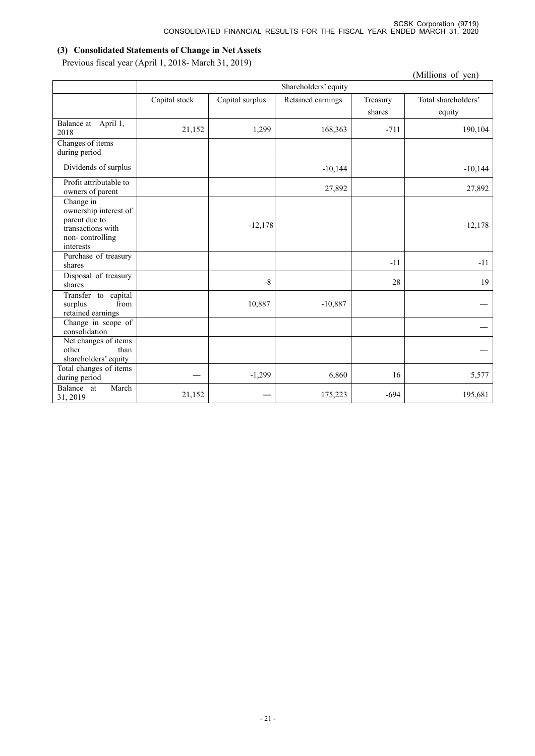# **(3) Consolidated Statements of Change in Net Assets**

Previous fiscal year (April 1, 2018- March 31, 2019)

|                                                                                                          |               |                 |                      |          | (Millions of yen)   |
|----------------------------------------------------------------------------------------------------------|---------------|-----------------|----------------------|----------|---------------------|
|                                                                                                          |               |                 | Shareholders' equity |          |                     |
|                                                                                                          | Capital stock | Capital surplus | Retained earnings    | Treasury | Total shareholders' |
|                                                                                                          |               |                 |                      | shares   | equity              |
| Balance at April 1,<br>2018                                                                              | 21,152        | 1,299           | 168,363              | $-711$   | 190,104             |
| Changes of items<br>during period                                                                        |               |                 |                      |          |                     |
| Dividends of surplus                                                                                     |               |                 | $-10,144$            |          | $-10,144$           |
| Profit attributable to<br>owners of parent                                                               |               |                 | 27,892               |          | 27,892              |
| Change in<br>ownership interest of<br>parent due to<br>transactions with<br>non-controlling<br>interests |               | $-12,178$       |                      |          | $-12,178$           |
| Purchase of treasury<br>shares                                                                           |               |                 |                      | $-11$    | $-11$               |
| Disposal of treasury<br>shares                                                                           |               | $-8$            |                      | 28       | 19                  |
| Transfer to capital<br>from<br>surplus<br>retained earnings                                              |               | 10,887          | $-10,887$            |          |                     |
| Change in scope of<br>consolidation                                                                      |               |                 |                      |          |                     |
| Net changes of items<br>other<br>than<br>shareholders' equity                                            |               |                 |                      |          |                     |
| Total changes of items<br>during period                                                                  |               | $-1,299$        | 6,860                | 16       | 5,577               |
| March<br>Balance at<br>31, 2019                                                                          | 21,152        |                 | 175,223              | $-694$   | 195,681             |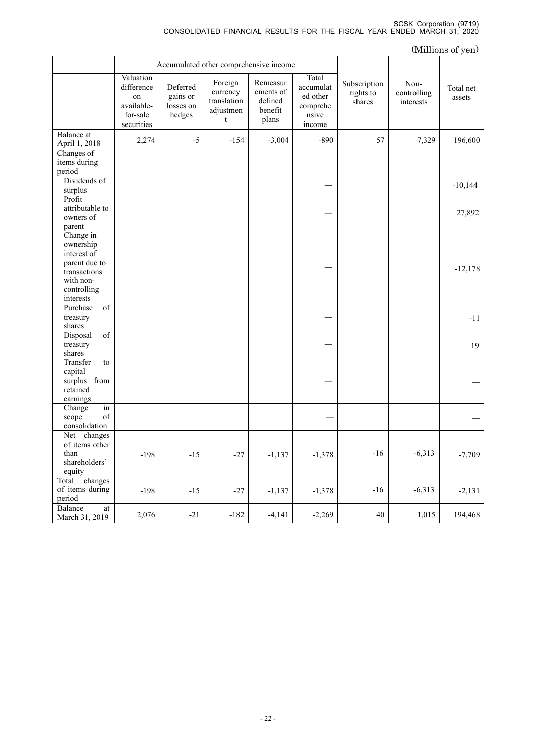#### SCSK Corporation (9719) CONSOLIDATED FINANCIAL RESULTS FOR THE FISCAL YEAR ENDED MARCH 31, 2020

| (Millions of yen)                                                                                               |                                                                       |                                             |                                                      |                                                      |                                                               |                                     |                                  |                     |
|-----------------------------------------------------------------------------------------------------------------|-----------------------------------------------------------------------|---------------------------------------------|------------------------------------------------------|------------------------------------------------------|---------------------------------------------------------------|-------------------------------------|----------------------------------|---------------------|
|                                                                                                                 |                                                                       |                                             | Accumulated other comprehensive income               |                                                      |                                                               |                                     |                                  |                     |
|                                                                                                                 | Valuation<br>difference<br>on<br>available-<br>for-sale<br>securities | Deferred<br>gains or<br>losses on<br>hedges | Foreign<br>currency<br>translation<br>adjustmen<br>t | Remeasur<br>ements of<br>defined<br>benefit<br>plans | Total<br>accumulat<br>ed other<br>comprehe<br>nsive<br>income | Subscription<br>rights to<br>shares | Non-<br>controlling<br>interests | Total net<br>assets |
| Balance at<br>April 1, 2018                                                                                     | 2,274                                                                 | $-5$                                        | $-154$                                               | $-3,004$                                             | $-890$                                                        | 57                                  | 7,329                            | 196,600             |
| Changes of<br>items during<br>period                                                                            |                                                                       |                                             |                                                      |                                                      |                                                               |                                     |                                  |                     |
| Dividends of<br>surplus                                                                                         |                                                                       |                                             |                                                      |                                                      |                                                               |                                     |                                  | $-10,144$           |
| Profit<br>attributable to<br>owners of<br>parent                                                                |                                                                       |                                             |                                                      |                                                      |                                                               |                                     |                                  | 27,892              |
| Change in<br>ownership<br>interest of<br>parent due to<br>transactions<br>with non-<br>controlling<br>interests |                                                                       |                                             |                                                      |                                                      |                                                               |                                     |                                  | $-12,178$           |
| Purchase<br>of<br>treasury<br>shares                                                                            |                                                                       |                                             |                                                      |                                                      |                                                               |                                     |                                  | $-11$               |
| $\overline{\text{of}}$<br>Disposal<br>treasury<br>shares                                                        |                                                                       |                                             |                                                      |                                                      |                                                               |                                     |                                  | 19                  |
| Transfer<br>to<br>capital<br>surplus from<br>retained<br>earnings                                               |                                                                       |                                             |                                                      |                                                      |                                                               |                                     |                                  |                     |
| Change<br>in<br>of<br>scope<br>consolidation                                                                    |                                                                       |                                             |                                                      |                                                      |                                                               |                                     |                                  |                     |
| Net changes<br>of items other<br>than<br>shareholders'<br>equity                                                | $-198$                                                                | $-15$                                       | $-27$                                                | $-1,137$                                             | $-1,378$                                                      | $-16$                               | $-6,313$                         | $-7,709$            |
| Total<br>changes<br>of items during<br>period                                                                   | $-198$                                                                | $-15$                                       | $-27$                                                | $-1,137$                                             | $-1,378$                                                      | $-16$                               | $-6,313$                         | $-2,131$            |
| Balance<br>at<br>March 31, 2019                                                                                 | 2,076                                                                 | $-21$                                       | $-182$                                               | $-4,141$                                             | $-2,269$                                                      | $40\,$                              | 1,015                            | 194,468             |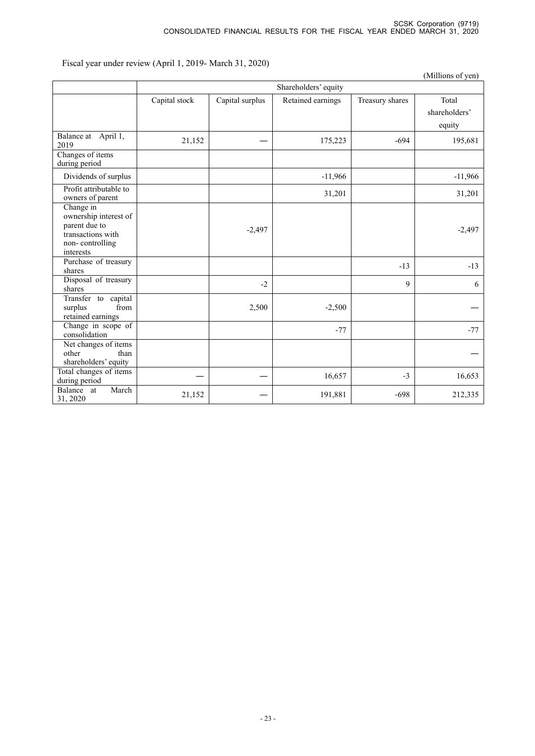Fiscal year under review (April 1, 2019- March 31, 2020)

|                                                                                                          |               |                 |                      |                 | (Millions of yen)                |
|----------------------------------------------------------------------------------------------------------|---------------|-----------------|----------------------|-----------------|----------------------------------|
|                                                                                                          |               |                 | Shareholders' equity |                 |                                  |
|                                                                                                          | Capital stock | Capital surplus | Retained earnings    | Treasury shares | Total<br>shareholders'<br>equity |
| Balance at April 1,<br>2019                                                                              | 21,152        |                 | 175,223              | $-694$          | 195,681                          |
| Changes of items<br>during period                                                                        |               |                 |                      |                 |                                  |
| Dividends of surplus                                                                                     |               |                 | $-11,966$            |                 | $-11,966$                        |
| Profit attributable to<br>owners of parent                                                               |               |                 | 31,201               |                 | 31,201                           |
| Change in<br>ownership interest of<br>parent due to<br>transactions with<br>non-controlling<br>interests |               | $-2,497$        |                      |                 | $-2,497$                         |
| Purchase of treasury<br>shares                                                                           |               |                 |                      | $-13$           | $-13$                            |
| Disposal of treasury<br>shares                                                                           |               | $-2$            |                      | 9               | 6                                |
| Transfer to capital<br>from<br>surplus<br>retained earnings                                              |               | 2,500           | $-2,500$             |                 |                                  |
| Change in scope of<br>consolidation                                                                      |               |                 | $-77$                |                 | $-77$                            |
| Net changes of items<br>other<br>than<br>shareholders' equity                                            |               |                 |                      |                 |                                  |
| Total changes of items<br>during period                                                                  |               |                 | 16,657               | $-3$            | 16,653                           |
| March<br>Balance at<br>31, 2020                                                                          | 21,152        |                 | 191,881              | $-698$          | 212,335                          |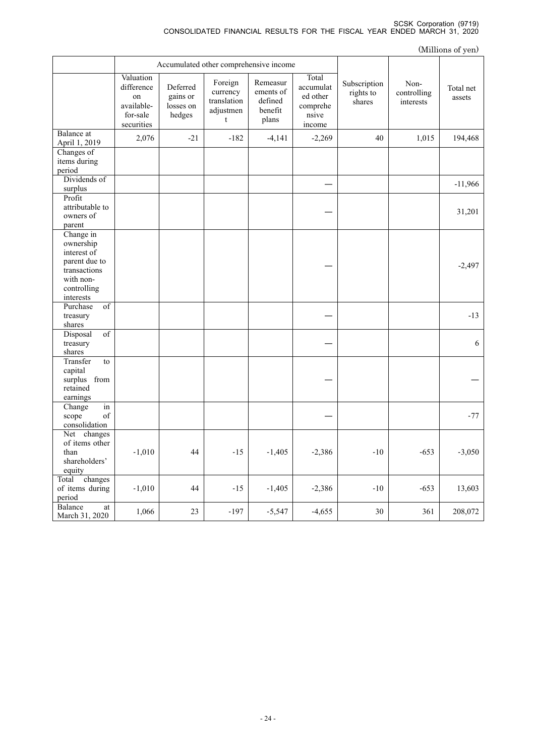|                                                                                                                 |                                                                       |                                             |                                                      |                                                      |                                                               |                                     |                                  | (Millions of yen)   |
|-----------------------------------------------------------------------------------------------------------------|-----------------------------------------------------------------------|---------------------------------------------|------------------------------------------------------|------------------------------------------------------|---------------------------------------------------------------|-------------------------------------|----------------------------------|---------------------|
|                                                                                                                 |                                                                       |                                             | Accumulated other comprehensive income               |                                                      |                                                               |                                     |                                  |                     |
|                                                                                                                 | Valuation<br>difference<br>on<br>available-<br>for-sale<br>securities | Deferred<br>gains or<br>losses on<br>hedges | Foreign<br>currency<br>translation<br>adjustmen<br>t | Remeasur<br>ements of<br>defined<br>benefit<br>plans | Total<br>accumulat<br>ed other<br>comprehe<br>nsive<br>income | Subscription<br>rights to<br>shares | Non-<br>controlling<br>interests | Total net<br>assets |
| Balance at<br>April 1, 2019                                                                                     | 2,076                                                                 | $-21$                                       | $-182$                                               | $-4,141$                                             | $-2,269$                                                      | 40                                  | 1,015                            | 194,468             |
| Changes of<br>items during<br>period                                                                            |                                                                       |                                             |                                                      |                                                      |                                                               |                                     |                                  |                     |
| Dividends of<br>surplus                                                                                         |                                                                       |                                             |                                                      |                                                      |                                                               |                                     |                                  | $-11,966$           |
| Profit<br>attributable to<br>owners of<br>parent                                                                |                                                                       |                                             |                                                      |                                                      |                                                               |                                     |                                  | 31,201              |
| Change in<br>ownership<br>interest of<br>parent due to<br>transactions<br>with non-<br>controlling<br>interests |                                                                       |                                             |                                                      |                                                      |                                                               |                                     |                                  | $-2,497$            |
| $\overline{\text{of}}$<br>Purchase<br>treasury<br>shares                                                        |                                                                       |                                             |                                                      |                                                      |                                                               |                                     |                                  | $-13$               |
| of<br>Disposal<br>treasury<br>shares                                                                            |                                                                       |                                             |                                                      |                                                      |                                                               |                                     |                                  | 6                   |
| Transfer<br>to<br>capital<br>surplus from<br>retained<br>earnings                                               |                                                                       |                                             |                                                      |                                                      |                                                               |                                     |                                  |                     |
| in<br>Change<br>of<br>scope<br>consolidation                                                                    |                                                                       |                                             |                                                      |                                                      |                                                               |                                     |                                  | $-77$               |
| Net changes<br>of items other<br>than<br>shareholders'<br>equity                                                | $-1,010$                                                              | 44                                          | $-15$                                                | $-1,405$                                             | $-2,386$                                                      | $-10$                               | $-653$                           | $-3,050$            |
| changes<br>Total<br>of items during<br>period                                                                   | $-1,010$                                                              | $44\,$                                      | $-15$                                                | $-1,405$                                             | $-2,386$                                                      | $-10$                               | $-653$                           | 13,603              |
| Balance<br>at<br>March 31, 2020                                                                                 | 1,066                                                                 | 23                                          | $-197$                                               | $-5,547$                                             | $-4,655$                                                      | $30\,$                              | 361                              | 208,072             |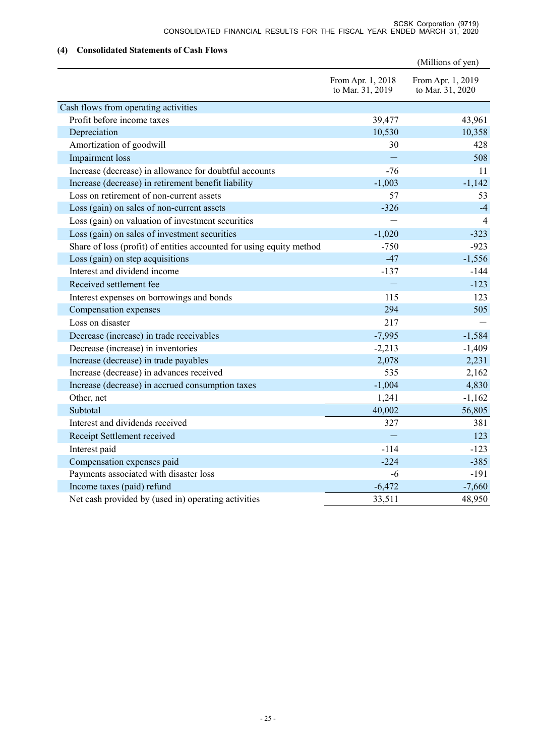## **(4) Consolidated Statements of Cash Flows**

|                                                                      |                                       | (Millions of yen)                     |
|----------------------------------------------------------------------|---------------------------------------|---------------------------------------|
|                                                                      | From Apr. 1, 2018<br>to Mar. 31, 2019 | From Apr. 1, 2019<br>to Mar. 31, 2020 |
| Cash flows from operating activities                                 |                                       |                                       |
| Profit before income taxes                                           | 39,477                                | 43,961                                |
| Depreciation                                                         | 10,530                                | 10,358                                |
| Amortization of goodwill                                             | 30                                    | 428                                   |
| Impairment loss                                                      |                                       | 508                                   |
| Increase (decrease) in allowance for doubtful accounts               | $-76$                                 | 11                                    |
| Increase (decrease) in retirement benefit liability                  | $-1,003$                              | $-1,142$                              |
| Loss on retirement of non-current assets                             | 57                                    | 53                                    |
| Loss (gain) on sales of non-current assets                           | $-326$                                | $-4$                                  |
| Loss (gain) on valuation of investment securities                    |                                       | 4                                     |
| Loss (gain) on sales of investment securities                        | $-1,020$                              | $-323$                                |
| Share of loss (profit) of entities accounted for using equity method | $-750$                                | $-923$                                |
| Loss (gain) on step acquisitions                                     | $-47$                                 | $-1,556$                              |
| Interest and dividend income                                         | $-137$                                | $-144$                                |
| Received settlement fee                                              |                                       | $-123$                                |
| Interest expenses on borrowings and bonds                            | 115                                   | 123                                   |
| Compensation expenses                                                | 294                                   | 505                                   |
| Loss on disaster                                                     | 217                                   |                                       |
| Decrease (increase) in trade receivables                             | $-7,995$                              | $-1,584$                              |
| Decrease (increase) in inventories                                   | $-2,213$                              | $-1,409$                              |
| Increase (decrease) in trade payables                                | 2,078                                 | 2,231                                 |
| Increase (decrease) in advances received                             | 535                                   | 2,162                                 |
| Increase (decrease) in accrued consumption taxes                     | $-1,004$                              | 4,830                                 |
| Other, net                                                           | 1,241                                 | $-1,162$                              |
| Subtotal                                                             | 40,002                                | 56,805                                |
| Interest and dividends received                                      | 327                                   | 381                                   |
| Receipt Settlement received                                          |                                       | 123                                   |
| Interest paid                                                        | $-114$                                | $-123$                                |
| Compensation expenses paid                                           | $-224$                                | $-385$                                |
| Payments associated with disaster loss                               | $-6$                                  | $-191$                                |
| Income taxes (paid) refund                                           | $-6,472$                              | $-7,660$                              |
| Net cash provided by (used in) operating activities                  | 33,511                                | 48,950                                |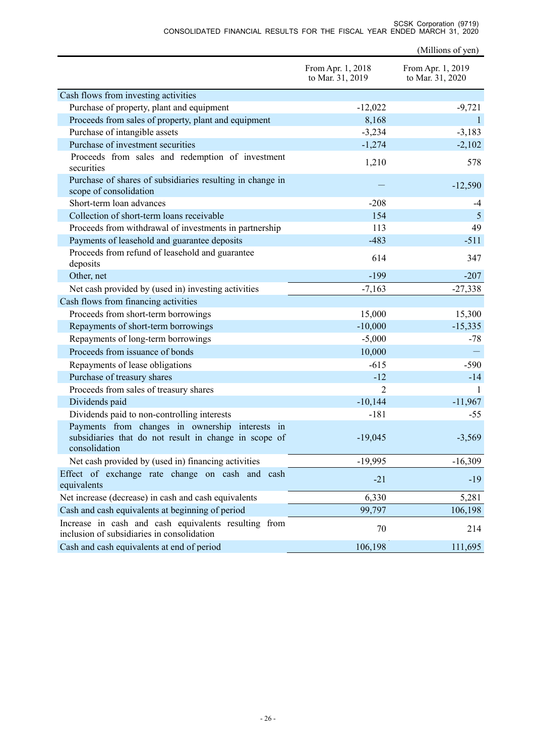|                                                                                                                           |                                       | (Millions of yen)                     |
|---------------------------------------------------------------------------------------------------------------------------|---------------------------------------|---------------------------------------|
|                                                                                                                           | From Apr. 1, 2018<br>to Mar. 31, 2019 | From Apr. 1, 2019<br>to Mar. 31, 2020 |
| Cash flows from investing activities                                                                                      |                                       |                                       |
| Purchase of property, plant and equipment                                                                                 | $-12,022$                             | $-9,721$                              |
| Proceeds from sales of property, plant and equipment                                                                      | 8,168                                 | $\mathbf{1}$                          |
| Purchase of intangible assets                                                                                             | $-3,234$                              | $-3,183$                              |
| Purchase of investment securities                                                                                         | $-1,274$                              | $-2,102$                              |
| Proceeds from sales and redemption of investment<br>securities                                                            | 1,210                                 | 578                                   |
| Purchase of shares of subsidiaries resulting in change in<br>scope of consolidation                                       |                                       | $-12,590$                             |
| Short-term loan advances                                                                                                  | $-208$                                | -4                                    |
| Collection of short-term loans receivable                                                                                 | 154                                   | 5                                     |
| Proceeds from withdrawal of investments in partnership                                                                    | 113                                   | 49                                    |
| Payments of leasehold and guarantee deposits                                                                              | $-483$                                | $-511$                                |
| Proceeds from refund of leasehold and guarantee<br>deposits                                                               | 614                                   | 347                                   |
| Other, net                                                                                                                | $-199$                                | $-207$                                |
| Net cash provided by (used in) investing activities                                                                       | $-7,163$                              | $-27,338$                             |
| Cash flows from financing activities                                                                                      |                                       |                                       |
| Proceeds from short-term borrowings                                                                                       | 15,000                                | 15,300                                |
| Repayments of short-term borrowings                                                                                       | $-10,000$                             | $-15,335$                             |
| Repayments of long-term borrowings                                                                                        | $-5,000$                              | $-78$                                 |
| Proceeds from issuance of bonds                                                                                           | 10,000                                |                                       |
| Repayments of lease obligations                                                                                           | $-615$                                | $-590$                                |
| Purchase of treasury shares                                                                                               | $-12$                                 | $-14$                                 |
| Proceeds from sales of treasury shares                                                                                    | $\overline{2}$                        | 1                                     |
| Dividends paid                                                                                                            | $-10,144$                             | $-11,967$                             |
| Dividends paid to non-controlling interests                                                                               | $-181$                                | $-55$                                 |
| Payments from changes in ownership interests in<br>subsidiaries that do not result in change in scope of<br>consolidation | $-19,045$                             | -3,569                                |
| Net cash provided by (used in) financing activities                                                                       | $-19,995$                             | $-16,309$                             |
| Effect of exchange rate change on cash and cash<br>equivalents                                                            | $-21$                                 | $-19$                                 |
| Net increase (decrease) in cash and cash equivalents                                                                      | 6,330                                 | 5,281                                 |
| Cash and cash equivalents at beginning of period                                                                          | 99,797                                | 106,198                               |

SCSK Corporation (9719) CONSOLIDATED FINANCIAL RESULTS FOR THE FISCAL YEAR ENDED MARCH 31, 2020

Increase in cash and cash equivalents resulting from  $70$  214 inclusion of subsidiaries in consolidation Cash and cash equivalents at end of period 106,198 111,695

Increase in cash and cash equivalents resulting from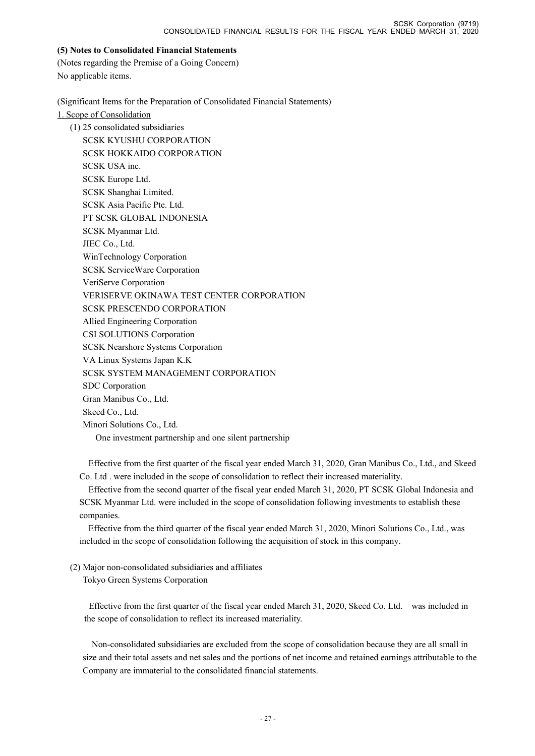#### **(5) Notes to Consolidated Financial Statements**

(Notes regarding the Premise of a Going Concern) No applicable items.

(Significant Items for the Preparation of Consolidated Financial Statements)

1. Scope of Consolidation

(1) 25 consolidated subsidiaries SCSK KYUSHU CORPORATION SCSK HOKKAIDO CORPORATION SCSK USA inc. SCSK Europe Ltd. SCSK Shanghai Limited. SCSK Asia Pacific Pte. Ltd. PT SCSK GLOBAL INDONESIA SCSK Myanmar Ltd. JIEC Co., Ltd. WinTechnology Corporation SCSK ServiceWare Corporation VeriServe Corporation VERISERVE OKINAWA TEST CENTER CORPORATION SCSK PRESCENDO CORPORATION Allied Engineering Corporation CSI SOLUTIONS Corporation SCSK Nearshore Systems Corporation VA Linux Systems Japan K.K SCSK SYSTEM MANAGEMENT CORPORATION SDC Corporation Gran Manibus Co., Ltd. Skeed Co., Ltd. Minori Solutions Co., Ltd. One investment partnership and one silent partnership

Effective from the first quarter of the fiscal year ended March 31, 2020, Gran Manibus Co., Ltd., and Skeed Co. Ltd . were included in the scope of consolidation to reflect their increased materiality.

Effective from the second quarter of the fiscal year ended March 31, 2020, PT SCSK Global Indonesia and SCSK Myanmar Ltd. were included in the scope of consolidation following investments to establish these companies.

Effective from the third quarter of the fiscal year ended March 31, 2020, Minori Solutions Co., Ltd., was included in the scope of consolidation following the acquisition of stock in this company.

## (2) Major non-consolidated subsidiaries and affiliates

Tokyo Green Systems Corporation

 Effective from the first quarter of the fiscal year ended March 31, 2020, Skeed Co. Ltd. was included in the scope of consolidation to reflect its increased materiality.

Non-consolidated subsidiaries are excluded from the scope of consolidation because they are all small in size and their total assets and net sales and the portions of net income and retained earnings attributable to the Company are immaterial to the consolidated financial statements.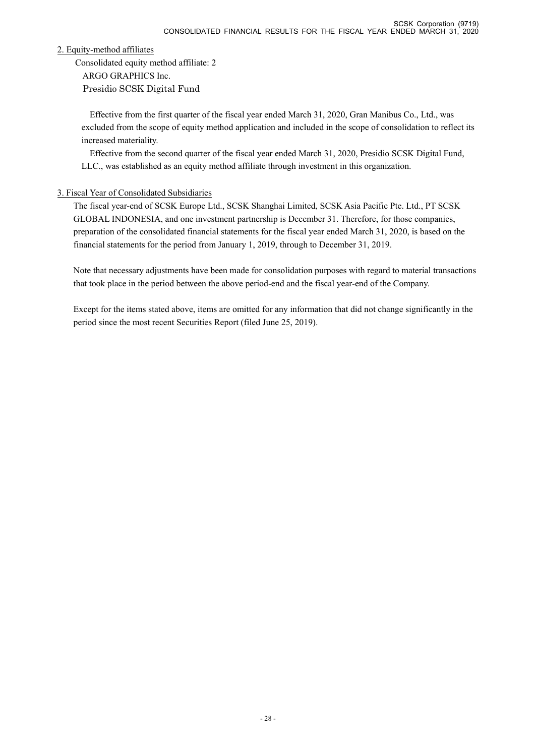2. Equity-method affiliates

Consolidated equity method affiliate: 2 ARGO GRAPHICS Inc.

Presidio SCSK Digital Fund

Effective from the first quarter of the fiscal year ended March 31, 2020, Gran Manibus Co., Ltd., was excluded from the scope of equity method application and included in the scope of consolidation to reflect its increased materiality.

Effective from the second quarter of the fiscal year ended March 31, 2020, Presidio SCSK Digital Fund, LLC., was established as an equity method affiliate through investment in this organization.

# 3. Fiscal Year of Consolidated Subsidiaries

The fiscal year-end of SCSK Europe Ltd., SCSK Shanghai Limited, SCSK Asia Pacific Pte. Ltd., PT SCSK GLOBAL INDONESIA, and one investment partnership is December 31. Therefore, for those companies, preparation of the consolidated financial statements for the fiscal year ended March 31, 2020, is based on the financial statements for the period from January 1, 2019, through to December 31, 2019.

Note that necessary adjustments have been made for consolidation purposes with regard to material transactions that took place in the period between the above period-end and the fiscal year-end of the Company.

Except for the items stated above, items are omitted for any information that did not change significantly in the period since the most recent Securities Report (filed June 25, 2019).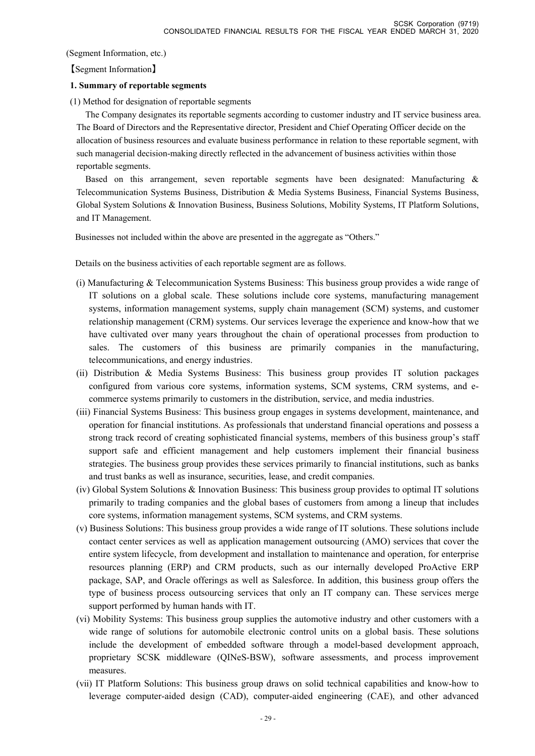(Segment Information, etc.)

【Segment Information】

## **1. Summary of reportable segments**

(1) Method for designation of reportable segments

The Company designates its reportable segments according to customer industry and IT service business area. The Board of Directors and the Representative director, President and Chief Operating Officer decide on the allocation of business resources and evaluate business performance in relation to these reportable segment, with such managerial decision-making directly reflected in the advancement of business activities within those reportable segments.

Based on this arrangement, seven reportable segments have been designated: Manufacturing & Telecommunication Systems Business, Distribution & Media Systems Business, Financial Systems Business, Global System Solutions & Innovation Business, Business Solutions, Mobility Systems, IT Platform Solutions, and IT Management.

Businesses not included within the above are presented in the aggregate as "Others."

Details on the business activities of each reportable segment are as follows.

- (i) Manufacturing & Telecommunication Systems Business: This business group provides a wide range of IT solutions on a global scale. These solutions include core systems, manufacturing management systems, information management systems, supply chain management (SCM) systems, and customer relationship management (CRM) systems. Our services leverage the experience and know-how that we have cultivated over many years throughout the chain of operational processes from production to sales. The customers of this business are primarily companies in the manufacturing, telecommunications, and energy industries.
- (ii) Distribution & Media Systems Business: This business group provides IT solution packages configured from various core systems, information systems, SCM systems, CRM systems, and ecommerce systems primarily to customers in the distribution, service, and media industries.
- (iii) Financial Systems Business: This business group engages in systems development, maintenance, and operation for financial institutions. As professionals that understand financial operations and possess a strong track record of creating sophisticated financial systems, members of this business group's staff support safe and efficient management and help customers implement their financial business strategies. The business group provides these services primarily to financial institutions, such as banks and trust banks as well as insurance, securities, lease, and credit companies.
- (iv) Global System Solutions & Innovation Business: This business group provides to optimal IT solutions primarily to trading companies and the global bases of customers from among a lineup that includes core systems, information management systems, SCM systems, and CRM systems.
- (v) Business Solutions: This business group provides a wide range of IT solutions. These solutions include contact center services as well as application management outsourcing (AMO) services that cover the entire system lifecycle, from development and installation to maintenance and operation, for enterprise resources planning (ERP) and CRM products, such as our internally developed ProActive ERP package, SAP, and Oracle offerings as well as Salesforce. In addition, this business group offers the type of business process outsourcing services that only an IT company can. These services merge support performed by human hands with IT.
- (vi) Mobility Systems: This business group supplies the automotive industry and other customers with a wide range of solutions for automobile electronic control units on a global basis. These solutions include the development of embedded software through a model-based development approach, proprietary SCSK middleware (QINeS-BSW), software assessments, and process improvement measures.
- (ⅶ) IT Platform Solutions: This business group draws on solid technical capabilities and know-how to leverage computer-aided design (CAD), computer-aided engineering (CAE), and other advanced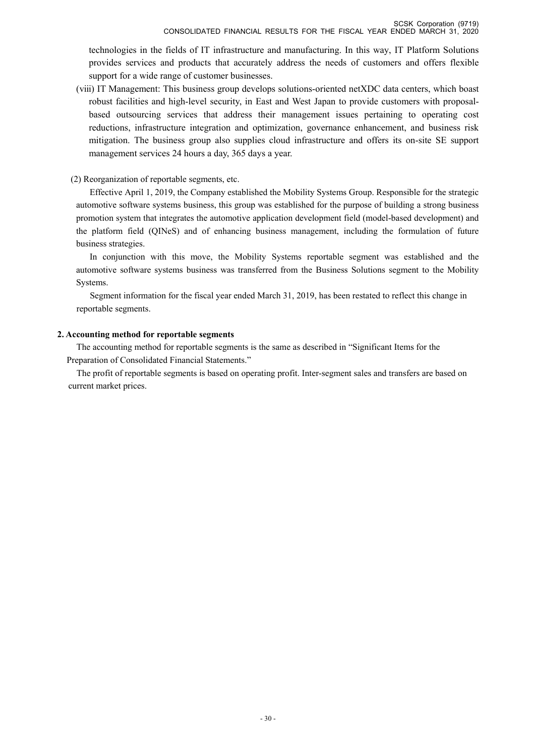technologies in the fields of IT infrastructure and manufacturing. In this way, IT Platform Solutions provides services and products that accurately address the needs of customers and offers flexible support for a wide range of customer businesses.

(ⅷ) IT Management: This business group develops solutions-oriented netXDC data centers, which boast robust facilities and high-level security, in East and West Japan to provide customers with proposalbased outsourcing services that address their management issues pertaining to operating cost reductions, infrastructure integration and optimization, governance enhancement, and business risk mitigation. The business group also supplies cloud infrastructure and offers its on-site SE support management services 24 hours a day, 365 days a year.

#### (2) Reorganization of reportable segments, etc.

Effective April 1, 2019, the Company established the Mobility Systems Group. Responsible for the strategic automotive software systems business, this group was established for the purpose of building a strong business promotion system that integrates the automotive application development field (model-based development) and the platform field (QINeS) and of enhancing business management, including the formulation of future business strategies.

In conjunction with this move, the Mobility Systems reportable segment was established and the automotive software systems business was transferred from the Business Solutions segment to the Mobility Systems.

Segment information for the fiscal year ended March 31, 2019, has been restated to reflect this change in reportable segments.

#### **2. Accounting method for reportable segments**

The accounting method for reportable segments is the same as described in "Significant Items for the Preparation of Consolidated Financial Statements."

The profit of reportable segments is based on operating profit. Inter-segment sales and transfers are based on current market prices.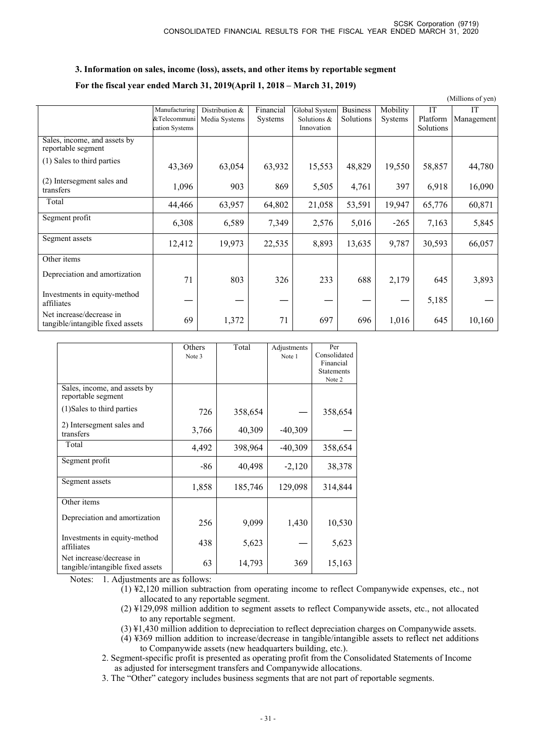#### **3. Information on sales, income (loss), assets, and other items by reportable segment**

#### **For the fiscal year ended March 31, 2019(April 1, 2018 – March 31, 2019)**

|                                                              |                |                |                |               |                 |                |           | (Millions of yen) |
|--------------------------------------------------------------|----------------|----------------|----------------|---------------|-----------------|----------------|-----------|-------------------|
|                                                              | Manufacturing  | Distribution & | Financial      | Global System | <b>Business</b> | Mobility       | IT        | <b>IT</b>         |
|                                                              | &Telecommuni   | Media Systems  | <b>Systems</b> | Solutions &   | Solutions       | <b>Systems</b> | Platform  | Management        |
|                                                              | cation Systems |                |                | Innovation    |                 |                | Solutions |                   |
| Sales, income, and assets by<br>reportable segment           |                |                |                |               |                 |                |           |                   |
| (1) Sales to third parties                                   | 43,369         | 63,054         | 63,932         | 15,553        | 48,829          | 19,550         | 58,857    | 44,780            |
| (2) Intersegment sales and<br>transfers                      | 1,096          | 903            | 869            | 5,505         | 4,761           | 397            | 6,918     | 16,090            |
| Total                                                        | 44,466         | 63,957         | 64,802         | 21,058        | 53,591          | 19,947         | 65,776    | 60,871            |
| Segment profit                                               | 6,308          | 6,589          | 7,349          | 2,576         | 5,016           | $-265$         | 7,163     | 5,845             |
| Segment assets                                               | 12,412         | 19,973         | 22,535         | 8,893         | 13,635          | 9,787          | 30,593    | 66,057            |
| Other items                                                  |                |                |                |               |                 |                |           |                   |
| Depreciation and amortization                                | 71             | 803            | 326            | 233           | 688             | 2,179          | 645       | 3,893             |
| Investments in equity-method<br>affiliates                   |                |                |                |               |                 |                | 5,185     |                   |
| Net increase/decrease in<br>tangible/intangible fixed assets | 69             | 1,372          | 71             | 697           | 696             | 1,016          | 645       | 10,160            |

|                                                                              | Others<br>Note 3    | Total   | Adjustments<br>Note 1 | Per<br>Consolidated<br>Financial |
|------------------------------------------------------------------------------|---------------------|---------|-----------------------|----------------------------------|
|                                                                              |                     |         |                       | <b>Statements</b><br>Note 2      |
| Sales, income, and assets by<br>reportable segment                           |                     |         |                       |                                  |
| (1) Sales to third parties                                                   | 726                 | 358,654 |                       | 358,654                          |
| 2) Intersegment sales and<br>transfers                                       | 3,766               | 40,309  | $-40,309$             |                                  |
| Total                                                                        | 4,492               | 398,964 | $-40,309$             | 358,654                          |
| Segment profit                                                               | -86                 | 40,498  | $-2,120$              | 38,378                           |
| Segment assets                                                               | 1,858               | 185,746 | 129,098               | 314,844                          |
| Other items                                                                  |                     |         |                       |                                  |
| Depreciation and amortization                                                | 256                 | 9,099   | 1,430                 | 10,530                           |
| Investments in equity-method<br>affiliates                                   | 438                 | 5,623   |                       | 5,623                            |
| Net increase/decrease in<br>tangible/intangible fixed assets<br>$\mathbf{v}$ | 63<br>$^{\circ}$ 11 | 14,793  | 369                   | 15,163                           |

Notes: 1. Adjustments are as follows:

- $(1)$  ¥2,120 million subtraction from operating income to reflect Companywide expenses, etc., not allocated to any reportable segment.
- (2) ¥129,098 million addition to segment assets to reflect Companywide assets, etc., not allocated to any reportable segment.
- (3) ¥1,430 million addition to depreciation to reflect depreciation charges on Companywide assets.
- (4) ¥369 million addition to increase/decrease in tangible/intangible assets to reflect net additions to Companywide assets (new headquarters building, etc.).

2. Segment-specific profit is presented as operating profit from the Consolidated Statements of Income as adjusted for intersegment transfers and Companywide allocations.

3. The "Other" category includes business segments that are not part of reportable segments.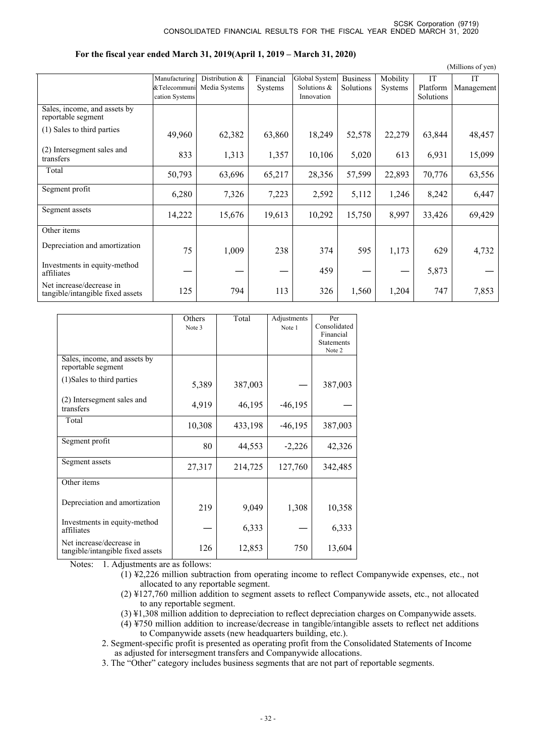|                                                              |                |                |                |               |                 |                |           | (Millions of yen) |
|--------------------------------------------------------------|----------------|----------------|----------------|---------------|-----------------|----------------|-----------|-------------------|
|                                                              | Manufacturing  | Distribution & | Financial      | Global System | <b>Business</b> | Mobility       | <b>IT</b> | <b>IT</b>         |
|                                                              | &Telecommuni   | Media Systems  | <b>Systems</b> | Solutions &   | Solutions       | <b>Systems</b> | Platform  | Management        |
|                                                              | cation Systems |                |                | Innovation    |                 |                | Solutions |                   |
| Sales, income, and assets by<br>reportable segment           |                |                |                |               |                 |                |           |                   |
| (1) Sales to third parties                                   | 49,960         | 62,382         | 63,860         | 18,249        | 52,578          | 22,279         | 63,844    | 48,457            |
| (2) Intersegment sales and<br>transfers                      | 833            | 1,313          | 1,357          | 10,106        | 5,020           | 613            | 6,931     | 15,099            |
| Total                                                        | 50,793         | 63,696         | 65,217         | 28,356        | 57,599          | 22,893         | 70,776    | 63,556            |
| Segment profit                                               | 6,280          | 7,326          | 7,223          | 2,592         | 5,112           | 1,246          | 8,242     | 6,447             |
| Segment assets                                               | 14,222         | 15,676         | 19,613         | 10,292        | 15,750          | 8,997          | 33,426    | 69,429            |
| Other items                                                  |                |                |                |               |                 |                |           |                   |
| Depreciation and amortization                                | 75             | 1,009          | 238            | 374           | 595             | 1,173          | 629       | 4,732             |
| Investments in equity-method<br>affiliates                   |                |                |                | 459           |                 |                | 5,873     |                   |
| Net increase/decrease in<br>tangible/intangible fixed assets | 125            | 794            | 113            | 326           | 1,560           | 1,204          | 747       | 7,853             |

| For the fiscal year ended March 31, 2019(April 1, 2019 – March 31, 2020) |  |  |
|--------------------------------------------------------------------------|--|--|
|                                                                          |  |  |
|                                                                          |  |  |

|                                                              | Others | Total   | Adjustments | Per               |
|--------------------------------------------------------------|--------|---------|-------------|-------------------|
|                                                              | Note 3 |         | Note 1      | Consolidated      |
|                                                              |        |         |             | Financial         |
|                                                              |        |         |             | <b>Statements</b> |
|                                                              |        |         |             | Note 2            |
| Sales, income, and assets by<br>reportable segment           |        |         |             |                   |
| (1) Sales to third parties                                   | 5,389  | 387,003 |             | 387,003           |
| (2) Intersegment sales and<br>transfers                      | 4,919  | 46,195  | $-46,195$   |                   |
| Total                                                        | 10,308 | 433,198 | $-46,195$   | 387,003           |
| Segment profit                                               | 80     | 44,553  | $-2,226$    | 42,326            |
| Segment assets                                               | 27,317 | 214,725 | 127,760     | 342,485           |
| Other items                                                  |        |         |             |                   |
| Depreciation and amortization                                | 219    | 9,049   | 1,308       | 10,358            |
| Investments in equity-method<br>affiliates                   |        | 6,333   |             | 6,333             |
| Net increase/decrease in<br>tangible/intangible fixed assets | 126    | 12,853  | 750         | 13,604            |
|                                                              |        |         |             |                   |

Notes: 1. Adjustments are as follows:

- (1) ¥2,226 million subtraction from operating income to reflect Companywide expenses, etc., not allocated to any reportable segment.
- (2) ¥127,760 million addition to segment assets to reflect Companywide assets, etc., not allocated to any reportable segment.
- (3) ¥1,308 million addition to depreciation to reflect depreciation charges on Companywide assets.
- $(4)$  ¥750 million addition to increase/decrease in tangible/intangible assets to reflect net additions to Companywide assets (new headquarters building, etc.).
- 2. Segment-specific profit is presented as operating profit from the Consolidated Statements of Income as adjusted for intersegment transfers and Companywide allocations.
- 3. The "Other" category includes business segments that are not part of reportable segments.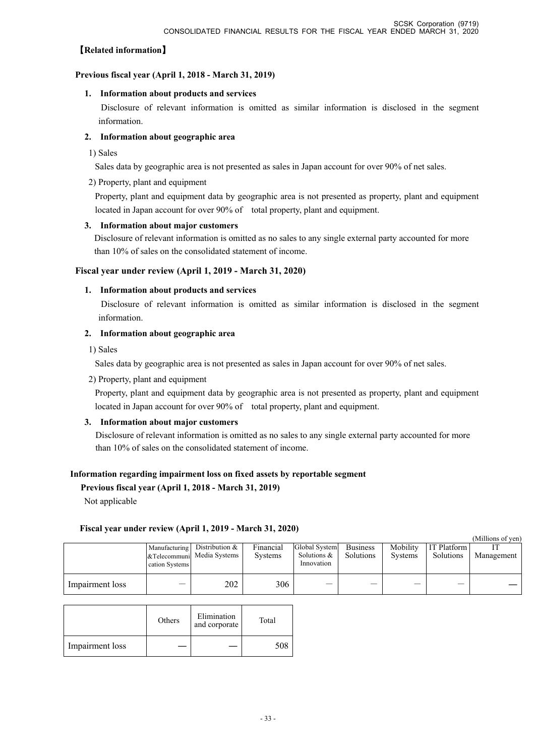# 【**Related information**】

## **Previous fiscal year (April 1, 2018 - March 31, 2019)**

#### **1. Information about products and services**

 Disclosure of relevant information is omitted as similar information is disclosed in the segment information.

## **2. Information about geographic area**

1) Sales

Sales data by geographic area is not presented as sales in Japan account for over 90% of net sales.

#### 2) Property, plant and equipment

Property, plant and equipment data by geographic area is not presented as property, plant and equipment located in Japan account for over 90% of total property, plant and equipment.

## **3. Information about major customers**

 Disclosure of relevant information is omitted as no sales to any single external party accounted for more than 10% of sales on the consolidated statement of income.

#### **Fiscal year under review (April 1, 2019 - March 31, 2020)**

#### **1. Information about products and services**

 Disclosure of relevant information is omitted as similar information is disclosed in the segment information.

#### **2. Information about geographic area**

1) Sales

Sales data by geographic area is not presented as sales in Japan account for over 90% of net sales.

2) Property, plant and equipment

Property, plant and equipment data by geographic area is not presented as property, plant and equipment located in Japan account for over 90% of total property, plant and equipment.

## **3. Information about major customers**

Disclosure of relevant information is omitted as no sales to any single external party accounted for more than 10% of sales on the consolidated statement of income.

## **Information regarding impairment loss on fixed assets by reportable segment**

**Previous fiscal year (April 1, 2018 - March 31, 2019)** 

Not applicable

## **Fiscal year under review (April 1, 2019 - March 31, 2020)**

|                 |                |                                 |                |               |                 |                |             | (Millions of yen) |
|-----------------|----------------|---------------------------------|----------------|---------------|-----------------|----------------|-------------|-------------------|
|                 |                | Manufacturing Distribution $\&$ | Financial      | Global System | <b>Business</b> | Mobility       | IT Platform |                   |
|                 |                | &Telecommuni Media Systems      | <b>Systems</b> | Solutions $&$ | Solutions       | <b>Systems</b> | Solutions   | Management        |
|                 | cation Systems |                                 |                | Innovation    |                 |                |             |                   |
| Impairment loss |                | 202                             | 306            |               |                 |                |             |                   |

|                 | Others | Elimination<br>and corporate | Total |
|-----------------|--------|------------------------------|-------|
| Impairment loss |        |                              |       |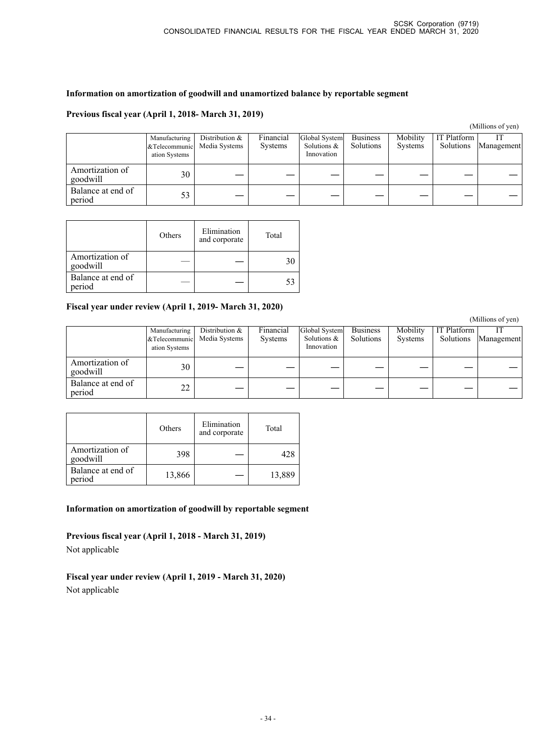## **Information on amortization of goodwill and unamortized balance by reportable segment**

## **Previous fiscal year (April 1, 2018- March 31, 2019)**

(Millions of yen)

|                             | Manufacturing<br>ation Systems | Distribution &<br>&Telecommunic Media Systems | Financial<br><b>Systems</b> | Global System<br>Solutions $\&$<br>Innovation | <b>Business</b><br>Solutions | Mobility<br><b>Systems</b> | IT Platform<br>Solutions | Management |
|-----------------------------|--------------------------------|-----------------------------------------------|-----------------------------|-----------------------------------------------|------------------------------|----------------------------|--------------------------|------------|
| Amortization of<br>goodwill | 30                             |                                               |                             |                                               |                              |                            |                          |            |
| Balance at end of<br>period | 53                             |                                               |                             |                                               |                              |                            |                          |            |

|                             | Others | Elimination<br>and corporate | Total |
|-----------------------------|--------|------------------------------|-------|
| Amortization of<br>goodwill |        |                              |       |
| Balance at end of<br>period |        |                              |       |

#### **Fiscal year under review (April 1, 2019- March 31, 2020)**

|                             |                                                  |                                 |                             |                                            |                              |                            |                          | (Millions of yen) |
|-----------------------------|--------------------------------------------------|---------------------------------|-----------------------------|--------------------------------------------|------------------------------|----------------------------|--------------------------|-------------------|
|                             | Manufacturing<br>& Telecommunic<br>ation Systems | Distribution &<br>Media Systems | Financial<br><b>Systems</b> | Global System<br>Solutions &<br>Innovation | <b>Business</b><br>Solutions | Mobility<br><b>Systems</b> | IT Platform<br>Solutions | Management        |
| Amortization of<br>goodwill | 30                                               |                                 |                             |                                            |                              |                            |                          |                   |
| Balance at end of<br>period | 22                                               |                                 |                             |                                            |                              |                            |                          |                   |

|                             | Others | Elimination<br>and corporate | Total  |
|-----------------------------|--------|------------------------------|--------|
| Amortization of<br>goodwill | 398    |                              | 428    |
| Balance at end of<br>period | 13,866 |                              | 13,889 |

**Information on amortization of goodwill by reportable segment** 

**Previous fiscal year (April 1, 2018 - March 31, 2019)**  Not applicable

**Fiscal year under review (April 1, 2019 - March 31, 2020)**  Not applicable